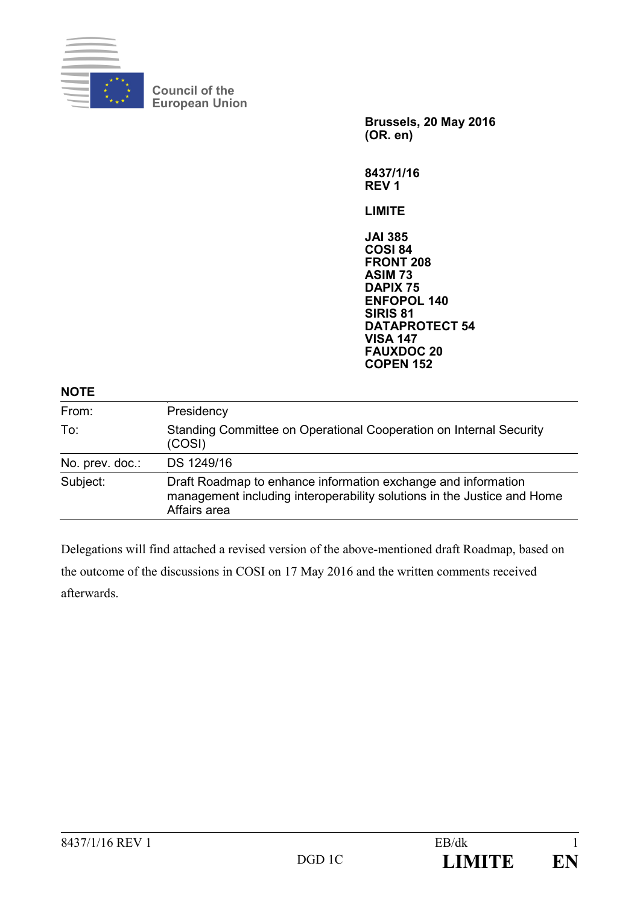

**Council of the European Union**

> **Brussels, 20 May 2016 (OR. en)**

**8437/1/16 REV 1**

**LIMITE**

**JAI 385 COSI 84 FRONT 208 ASIM 73 DAPIX 75 ENFOPOL 140 SIRIS 81 DATAPROTECT 54 VISA 147 FAUXDOC 20 COPEN 152**

#### **NOTE**

| From:           | Presidency                                                                                                                                               |
|-----------------|----------------------------------------------------------------------------------------------------------------------------------------------------------|
| To:             | Standing Committee on Operational Cooperation on Internal Security<br>(COSI)                                                                             |
| No. prev. doc.: | DS 1249/16                                                                                                                                               |
| Subject:        | Draft Roadmap to enhance information exchange and information<br>management including interoperability solutions in the Justice and Home<br>Affairs area |

Delegations will find attached a revised version of the above-mentioned draft Roadmap, based on the outcome of the discussions in COSI on 17 May 2016 and the written comments received afterwards.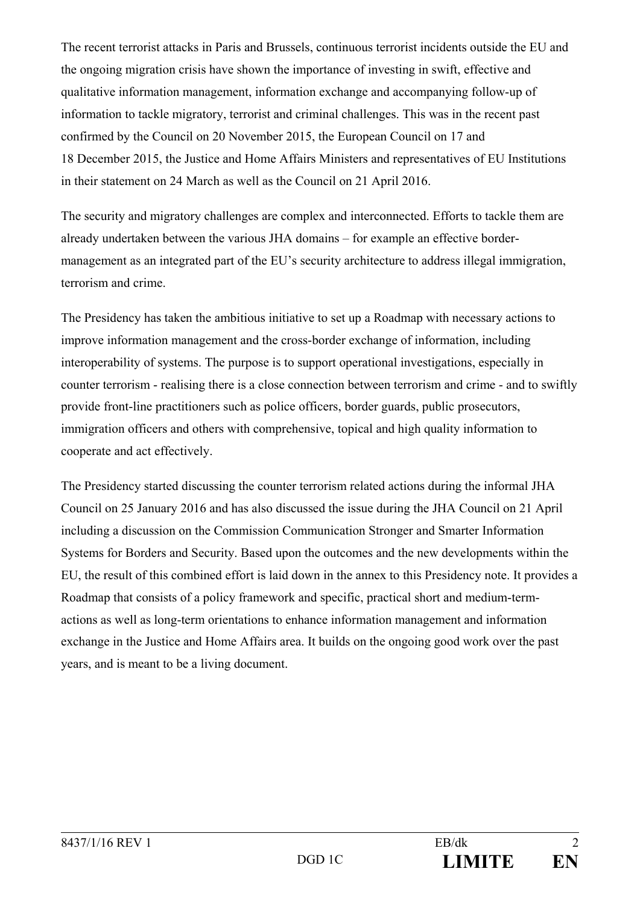The recent terrorist attacks in Paris and Brussels, continuous terrorist incidents outside the EU and the ongoing migration crisis have shown the importance of investing in swift, effective and qualitative information management, information exchange and accompanying follow-up of information to tackle migratory, terrorist and criminal challenges. This was in the recent past confirmed by the Council on 20 November 2015, the European Council on 17 and 18 December 2015, the Justice and Home Affairs Ministers and representatives of EU Institutions in their statement on 24 March as well as the Council on 21 April 2016.

The security and migratory challenges are complex and interconnected. Efforts to tackle them are already undertaken between the various JHA domains – for example an effective bordermanagement as an integrated part of the EU's security architecture to address illegal immigration, terrorism and crime.

The Presidency has taken the ambitious initiative to set up a Roadmap with necessary actions to improve information management and the cross-border exchange of information, including interoperability of systems. The purpose is to support operational investigations, especially in counter terrorism - realising there is a close connection between terrorism and crime - and to swiftly provide front-line practitioners such as police officers, border guards, public prosecutors, immigration officers and others with comprehensive, topical and high quality information to cooperate and act effectively.

The Presidency started discussing the counter terrorism related actions during the informal JHA Council on 25 January 2016 and has also discussed the issue during the JHA Council on 21 April including a discussion on the Commission Communication Stronger and Smarter Information Systems for Borders and Security. Based upon the outcomes and the new developments within the EU, the result of this combined effort is laid down in the annex to this Presidency note. It provides a Roadmap that consists of a policy framework and specific, practical short and medium-termactions as well as long-term orientations to enhance information management and information exchange in the Justice and Home Affairs area. It builds on the ongoing good work over the past years, and is meant to be a living document.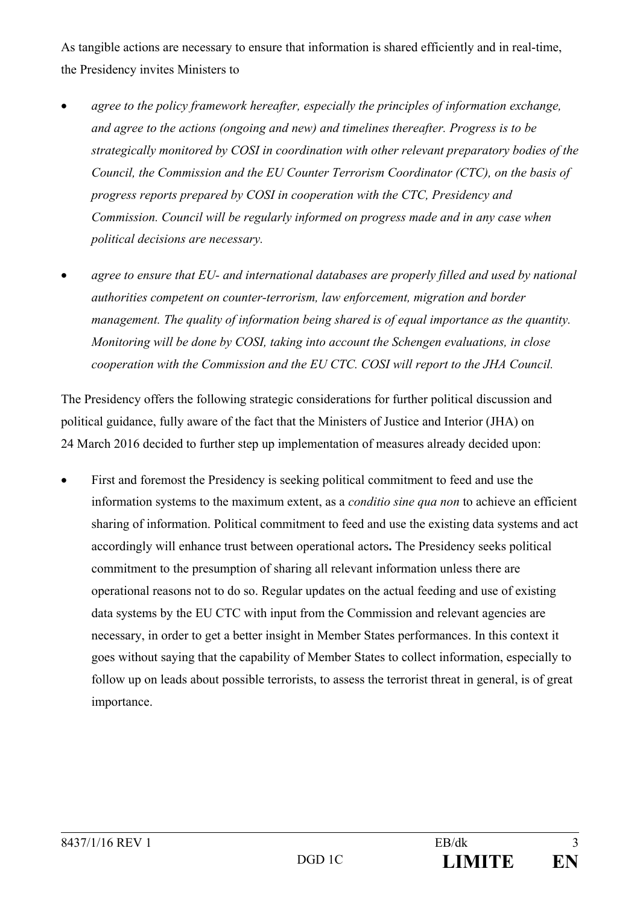As tangible actions are necessary to ensure that information is shared efficiently and in real-time, the Presidency invites Ministers to

- *agree to the policy framework hereafter, especially the principles of information exchange, and agree to the actions (ongoing and new) and timelines thereafter. Progress is to be strategically monitored by COSI in coordination with other relevant preparatory bodies of the Council, the Commission and the EU Counter Terrorism Coordinator (CTC), on the basis of progress reports prepared by COSI in cooperation with the CTC, Presidency and Commission. Council will be regularly informed on progress made and in any case when political decisions are necessary.*
- *agree to ensure that EU- and international databases are properly filled and used by national authorities competent on counter-terrorism, law enforcement, migration and border management. The quality of information being shared is of equal importance as the quantity. Monitoring will be done by COSI, taking into account the Schengen evaluations, in close cooperation with the Commission and the EU CTC. COSI will report to the JHA Council.*

The Presidency offers the following strategic considerations for further political discussion and political guidance, fully aware of the fact that the Ministers of Justice and Interior (JHA) on 24 March 2016 decided to further step up implementation of measures already decided upon:

• First and foremost the Presidency is seeking political commitment to feed and use the information systems to the maximum extent, as a *conditio sine qua non* to achieve an efficient sharing of information. Political commitment to feed and use the existing data systems and act accordingly will enhance trust between operational actors**.** The Presidency seeks political commitment to the presumption of sharing all relevant information unless there are operational reasons not to do so. Regular updates on the actual feeding and use of existing data systems by the EU CTC with input from the Commission and relevant agencies are necessary, in order to get a better insight in Member States performances. In this context it goes without saying that the capability of Member States to collect information, especially to follow up on leads about possible terrorists, to assess the terrorist threat in general, is of great importance.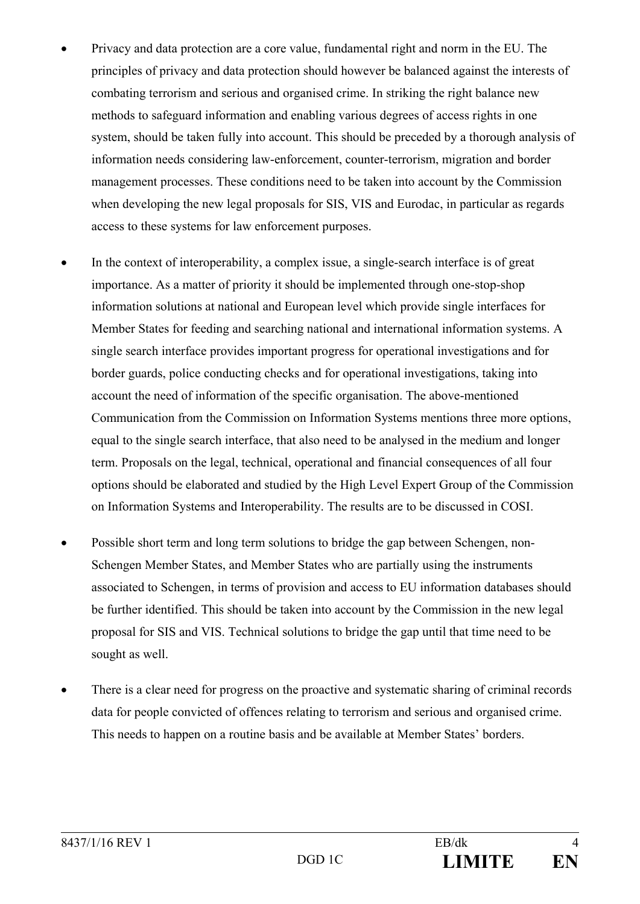- Privacy and data protection are a core value, fundamental right and norm in the EU. The principles of privacy and data protection should however be balanced against the interests of combating terrorism and serious and organised crime. In striking the right balance new methods to safeguard information and enabling various degrees of access rights in one system, should be taken fully into account. This should be preceded by a thorough analysis of information needs considering law-enforcement, counter-terrorism, migration and border management processes. These conditions need to be taken into account by the Commission when developing the new legal proposals for SIS, VIS and Eurodac, in particular as regards access to these systems for law enforcement purposes.
- In the context of interoperability, a complex issue, a single-search interface is of great importance. As a matter of priority it should be implemented through one-stop-shop information solutions at national and European level which provide single interfaces for Member States for feeding and searching national and international information systems. A single search interface provides important progress for operational investigations and for border guards, police conducting checks and for operational investigations, taking into account the need of information of the specific organisation. The above-mentioned Communication from the Commission on Information Systems mentions three more options, equal to the single search interface, that also need to be analysed in the medium and longer term. Proposals on the legal, technical, operational and financial consequences of all four options should be elaborated and studied by the High Level Expert Group of the Commission on Information Systems and Interoperability. The results are to be discussed in COSI.
- Possible short term and long term solutions to bridge the gap between Schengen, non-Schengen Member States, and Member States who are partially using the instruments associated to Schengen, in terms of provision and access to EU information databases should be further identified. This should be taken into account by the Commission in the new legal proposal for SIS and VIS. Technical solutions to bridge the gap until that time need to be sought as well.
- There is a clear need for progress on the proactive and systematic sharing of criminal records data for people convicted of offences relating to terrorism and serious and organised crime. This needs to happen on a routine basis and be available at Member States' borders.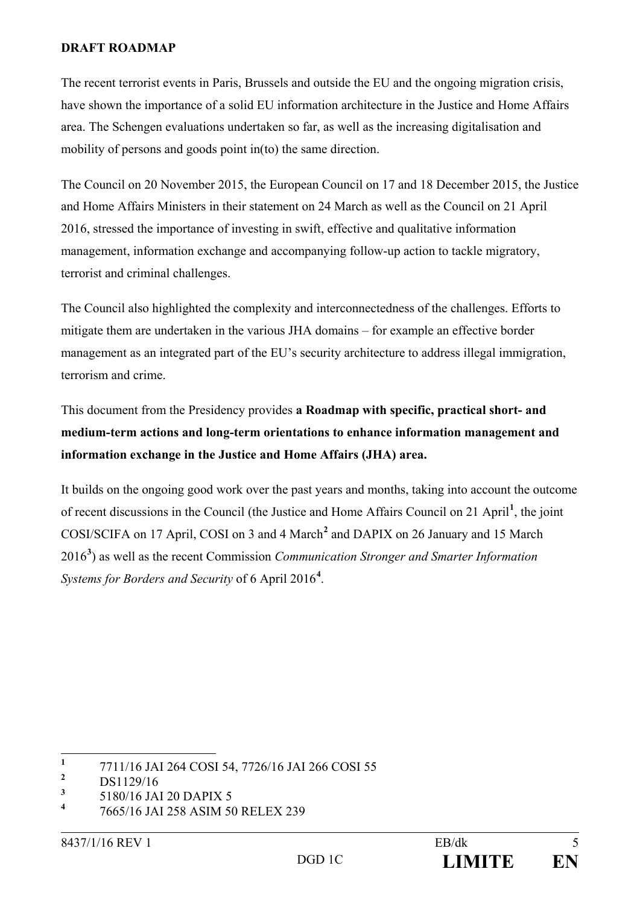#### **DRAFT ROADMAP**

The recent terrorist events in Paris, Brussels and outside the EU and the ongoing migration crisis, have shown the importance of a solid EU information architecture in the Justice and Home Affairs area. The Schengen evaluations undertaken so far, as well as the increasing digitalisation and mobility of persons and goods point in(to) the same direction.

The Council on 20 November 2015, the European Council on 17 and 18 December 2015, the Justice and Home Affairs Ministers in their statement on 24 March as well as the Council on 21 April 2016, stressed the importance of investing in swift, effective and qualitative information management, information exchange and accompanying follow-up action to tackle migratory, terrorist and criminal challenges.

The Council also highlighted the complexity and interconnectedness of the challenges. Efforts to mitigate them are undertaken in the various JHA domains – for example an effective border management as an integrated part of the EU's security architecture to address illegal immigration, terrorism and crime.

This document from the Presidency provides **a Roadmap with specific, practical short- and medium-term actions and long-term orientations to enhance information management and information exchange in the Justice and Home Affairs (JHA) area.** 

It builds on the ongoing good work over the past years and months, taking into account the outcome of recent discussions in the Council (the Justice and Home Affairs Council on 21 April**[1](#page-4-0)** , the joint COSI/SCIFA on 17 April, COSI on 3 and 4 March**[2](#page-4-1)** and DAPIX on 26 January and 15 March 2016**[3](#page-4-2)** ) as well as the recent Commission *Communication Stronger and Smarter Information Systems for Borders and Security* of 6 April 2016**[4](#page-4-3)** .

<span id="page-4-0"></span><sup>&</sup>lt;sup>1</sup> 7711/16 JAI 264 COSI 54, 7726/16 JAI 266 COSI 55

<span id="page-4-1"></span><sup>&</sup>lt;sup>2</sup> DS1129/16

<span id="page-4-2"></span>**<sup>3</sup>** 5180/16 JAI 20 DAPIX 5

<span id="page-4-3"></span>**<sup>4</sup>** 7665/16 JAI 258 ASIM 50 RELEX 239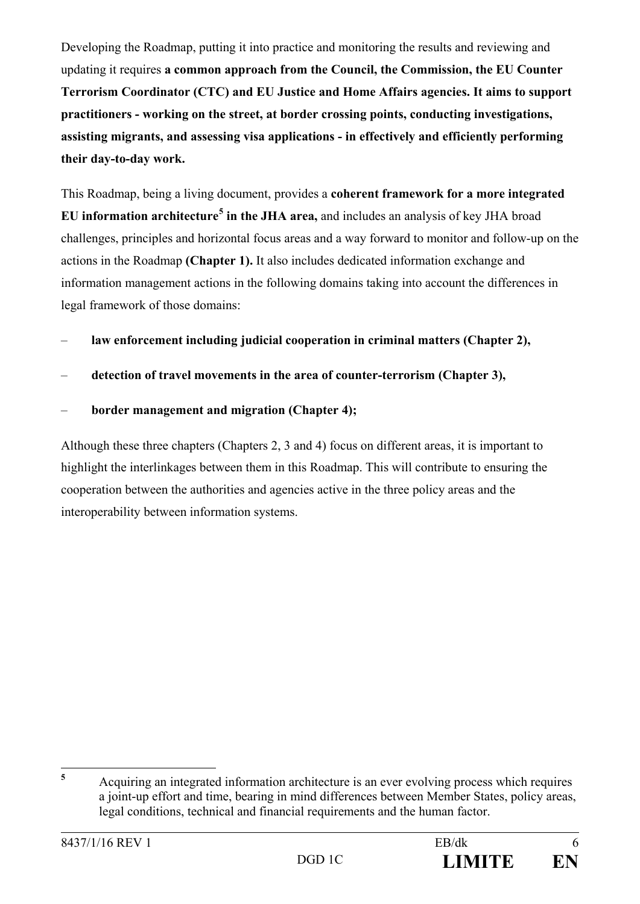Developing the Roadmap, putting it into practice and monitoring the results and reviewing and updating it requires **a common approach from the Council, the Commission, the EU Counter Terrorism Coordinator (CTC) and EU Justice and Home Affairs agencies. It aims to support practitioners - working on the street, at border crossing points, conducting investigations, assisting migrants, and assessing visa applications - in effectively and efficiently performing their day-to-day work.**

This Roadmap, being a living document, provides a **coherent framework for a more integrated EU information architecture[5](#page-5-0) in the JHA area,** and includes an analysis of key JHA broad challenges, principles and horizontal focus areas and a way forward to monitor and follow-up on the actions in the Roadmap **(Chapter 1).** It also includes dedicated information exchange and information management actions in the following domains taking into account the differences in legal framework of those domains:

- **law enforcement including judicial cooperation in criminal matters (Chapter 2),**
- **detection of travel movements in the area of counter-terrorism (Chapter 3),**
- **border management and migration (Chapter 4);**

Although these three chapters (Chapters 2, 3 and 4) focus on different areas, it is important to highlight the interlinkages between them in this Roadmap. This will contribute to ensuring the cooperation between the authorities and agencies active in the three policy areas and the interoperability between information systems.

<span id="page-5-0"></span>**<sup>5</sup>** Acquiring an integrated information architecture is an ever evolving process which requires a joint-up effort and time, bearing in mind differences between Member States, policy areas, legal conditions, technical and financial requirements and the human factor.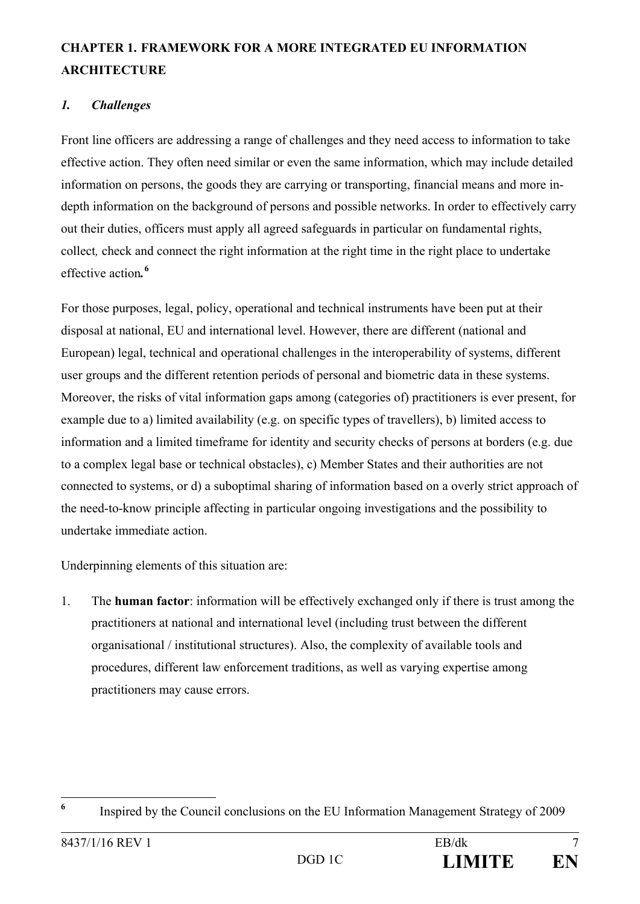# **CHAPTER 1. FRAMEWORK FOR A MORE INTEGRATED EU INFORMATION ARCHITECTURE**

# *1. Challenges*

Front line officers are addressing a range of challenges and they need access to information to take effective action. They often need similar or even the same information, which may include detailed information on persons, the goods they are carrying or transporting, financial means and more indepth information on the background of persons and possible networks. In order to effectively carry out their duties, officers must apply all agreed safeguards in particular on fundamental rights, collect*,* check and connect the right information at the right time in the right place to undertake effective action*.* **[6](#page-6-0)**

For those purposes, legal, policy, operational and technical instruments have been put at their disposal at national, EU and international level. However, there are different (national and European) legal, technical and operational challenges in the interoperability of systems, different user groups and the different retention periods of personal and biometric data in these systems. Moreover, the risks of vital information gaps among (categories of) practitioners is ever present, for example due to a) limited availability (e.g. on specific types of travellers), b) limited access to information and a limited timeframe for identity and security checks of persons at borders (e.g. due to a complex legal base or technical obstacles), c) Member States and their authorities are not connected to systems, or d) a suboptimal sharing of information based on a overly strict approach of the need-to-know principle affecting in particular ongoing investigations and the possibility to undertake immediate action.

Underpinning elements of this situation are:

1. The **human factor**: information will be effectively exchanged only if there is trust among the practitioners at national and international level (including trust between the different organisational / institutional structures). Also, the complexity of available tools and procedures, different law enforcement traditions, as well as varying expertise among practitioners may cause errors.

<span id="page-6-0"></span><sup>&</sup>lt;sup>6</sup> Inspired by the Council conclusions on the EU Information Management Strategy of 2009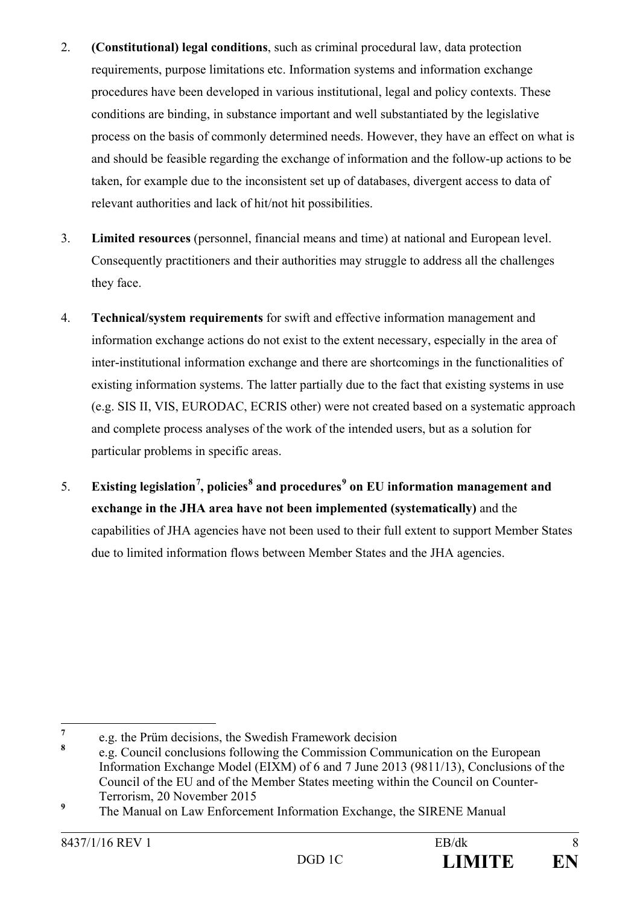- 2. **(Constitutional) legal conditions**, such as criminal procedural law, data protection requirements, purpose limitations etc. Information systems and information exchange procedures have been developed in various institutional, legal and policy contexts. These conditions are binding, in substance important and well substantiated by the legislative process on the basis of commonly determined needs. However, they have an effect on what is and should be feasible regarding the exchange of information and the follow-up actions to be taken, for example due to the inconsistent set up of databases, divergent access to data of relevant authorities and lack of hit/not hit possibilities.
- 3. **Limited resources** (personnel, financial means and time) at national and European level. Consequently practitioners and their authorities may struggle to address all the challenges they face.
- 4. **Technical/system requirements** for swift and effective information management and information exchange actions do not exist to the extent necessary, especially in the area of inter-institutional information exchange and there are shortcomings in the functionalities of existing information systems. The latter partially due to the fact that existing systems in use (e.g. SIS II, VIS, EURODAC, ECRIS other) were not created based on a systematic approach and complete process analyses of the work of the intended users, but as a solution for particular problems in specific areas.
- 5. **Existing legislation[7](#page-7-0) , policies[8](#page-7-1) and procedures[9](#page-7-2) on EU information management and exchange in the JHA area have not been implemented (systematically)** and the capabilities of JHA agencies have not been used to their full extent to support Member States due to limited information flows between Member States and the JHA agencies.

<span id="page-7-0"></span><sup>&</sup>lt;sup>7</sup> e.g. the Prüm decisions, the Swedish Framework decision  $\frac{8}{3}$ 

<span id="page-7-1"></span>**<sup>8</sup>** e.g. Council conclusions following the Commission Communication on the European Information Exchange Model (EIXM) of 6 and 7 June 2013 (9811/13), Conclusions of the Council of the EU and of the Member States meeting within the Council on Counter-Terrorism, 20 November 2015

<span id="page-7-2"></span><sup>&</sup>lt;sup>9</sup> The Manual on Law Enforcement Information Exchange, the SIRENE Manual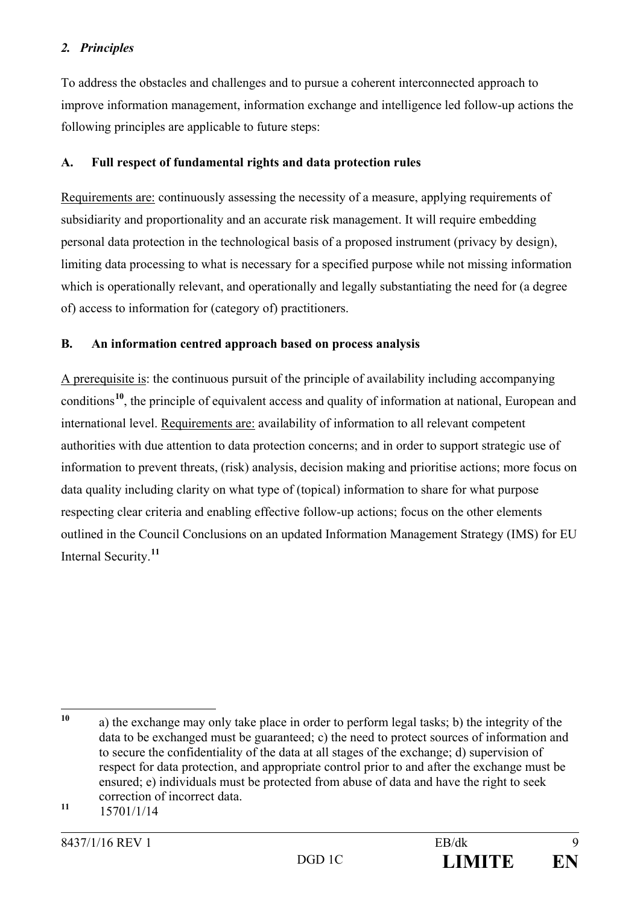# *2. Principles*

To address the obstacles and challenges and to pursue a coherent interconnected approach to improve information management, information exchange and intelligence led follow-up actions the following principles are applicable to future steps:

# **A. Full respect of fundamental rights and data protection rules**

Requirements are: continuously assessing the necessity of a measure, applying requirements of subsidiarity and proportionality and an accurate risk management. It will require embedding personal data protection in the technological basis of a proposed instrument (privacy by design), limiting data processing to what is necessary for a specified purpose while not missing information which is operationally relevant, and operationally and legally substantiating the need for (a degree of) access to information for (category of) practitioners.

# **B. An information centred approach based on process analysis**

A prerequisite is: the continuous pursuit of the principle of availability including accompanying conditions**[10](#page-8-0)**, the principle of equivalent access and quality of information at national, European and international level. Requirements are: availability of information to all relevant competent authorities with due attention to data protection concerns; and in order to support strategic use of information to prevent threats, (risk) analysis, decision making and prioritise actions; more focus on data quality including clarity on what type of (topical) information to share for what purpose respecting clear criteria and enabling effective follow-up actions; focus on the other elements outlined in the Council Conclusions on an updated Information Management Strategy (IMS) for EU Internal Security. **[11](#page-8-1)**

<span id="page-8-0"></span>**<sup>10</sup>** a) the exchange may only take place in order to perform legal tasks; b) the integrity of the data to be exchanged must be guaranteed; c) the need to protect sources of information and to secure the confidentiality of the data at all stages of the exchange; d) supervision of respect for data protection, and appropriate control prior to and after the exchange must be ensured; e) individuals must be protected from abuse of data and have the right to seek correction of incorrect data.

<span id="page-8-1"></span>**<sup>11</sup>** 15701/1/14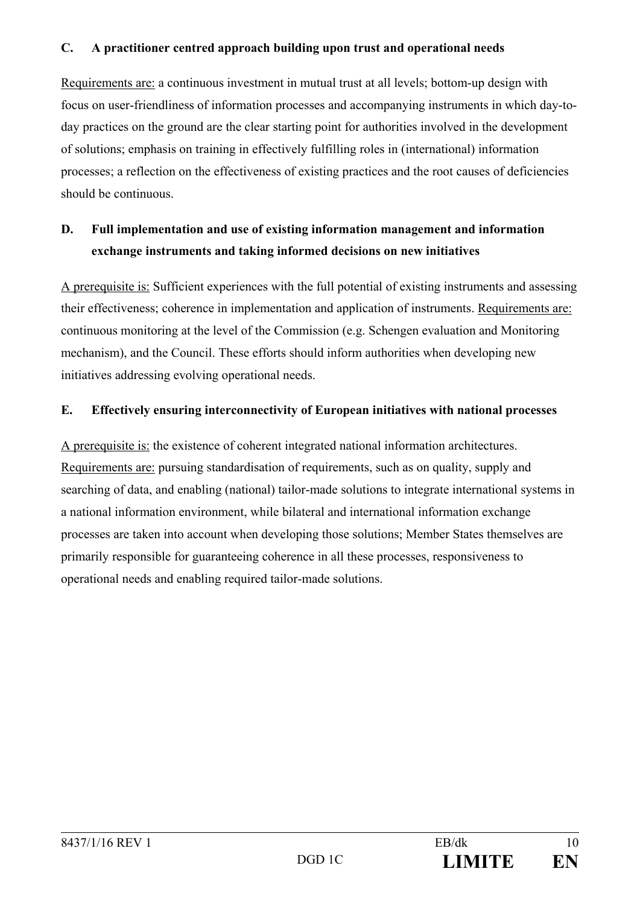## **C. A practitioner centred approach building upon trust and operational needs**

Requirements are: a continuous investment in mutual trust at all levels; bottom-up design with focus on user-friendliness of information processes and accompanying instruments in which day-today practices on the ground are the clear starting point for authorities involved in the development of solutions; emphasis on training in effectively fulfilling roles in (international) information processes; a reflection on the effectiveness of existing practices and the root causes of deficiencies should be continuous.

# **D. Full implementation and use of existing information management and information exchange instruments and taking informed decisions on new initiatives**

A prerequisite is: Sufficient experiences with the full potential of existing instruments and assessing their effectiveness; coherence in implementation and application of instruments. Requirements are: continuous monitoring at the level of the Commission (e.g. Schengen evaluation and Monitoring mechanism), and the Council. These efforts should inform authorities when developing new initiatives addressing evolving operational needs.

# **E. Effectively ensuring interconnectivity of European initiatives with national processes**

A prerequisite is: the existence of coherent integrated national information architectures. Requirements are: pursuing standardisation of requirements, such as on quality, supply and searching of data, and enabling (national) tailor-made solutions to integrate international systems in a national information environment, while bilateral and international information exchange processes are taken into account when developing those solutions; Member States themselves are primarily responsible for guaranteeing coherence in all these processes, responsiveness to operational needs and enabling required tailor-made solutions.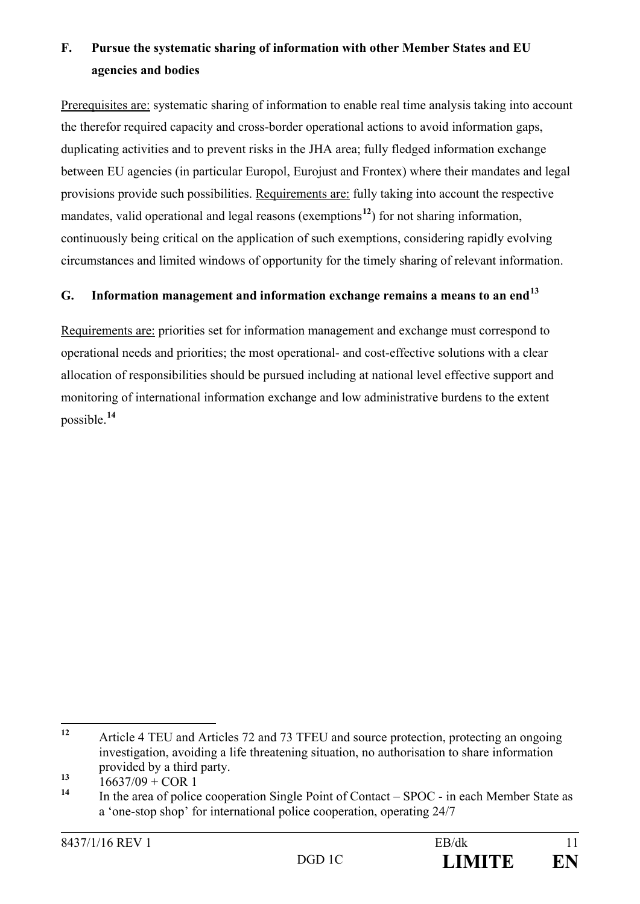# **F. Pursue the systematic sharing of information with other Member States and EU agencies and bodies**

Prerequisites are: systematic sharing of information to enable real time analysis taking into account the therefor required capacity and cross-border operational actions to avoid information gaps, duplicating activities and to prevent risks in the JHA area; fully fledged information exchange between EU agencies (in particular Europol, Eurojust and Frontex) where their mandates and legal provisions provide such possibilities. Requirements are: fully taking into account the respective mandates, valid operational and legal reasons (exemptions**[12](#page-10-0)**) for not sharing information, continuously being critical on the application of such exemptions, considering rapidly evolving circumstances and limited windows of opportunity for the timely sharing of relevant information.

# **G. Information management and information exchange remains a means to an end[13](#page-10-1)**

Requirements are: priorities set for information management and exchange must correspond to operational needs and priorities; the most operational- and cost-effective solutions with a clear allocation of responsibilities should be pursued including at national level effective support and monitoring of international information exchange and low administrative burdens to the extent possible. **[14](#page-10-2)**

<span id="page-10-0"></span>**<sup>12</sup>** Article 4 TEU and Articles 72 and 73 TFEU and source protection, protecting an ongoing investigation, avoiding a life threatening situation, no authorisation to share information provided by a third party.

<span id="page-10-1"></span> $13$  16637/09 + COR 1<br> **14** In the gree of police

<span id="page-10-2"></span>**<sup>14</sup>** In the area of police cooperation Single Point of Contact – SPOC - in each Member State as a 'one-stop shop' for international police cooperation, operating 24/7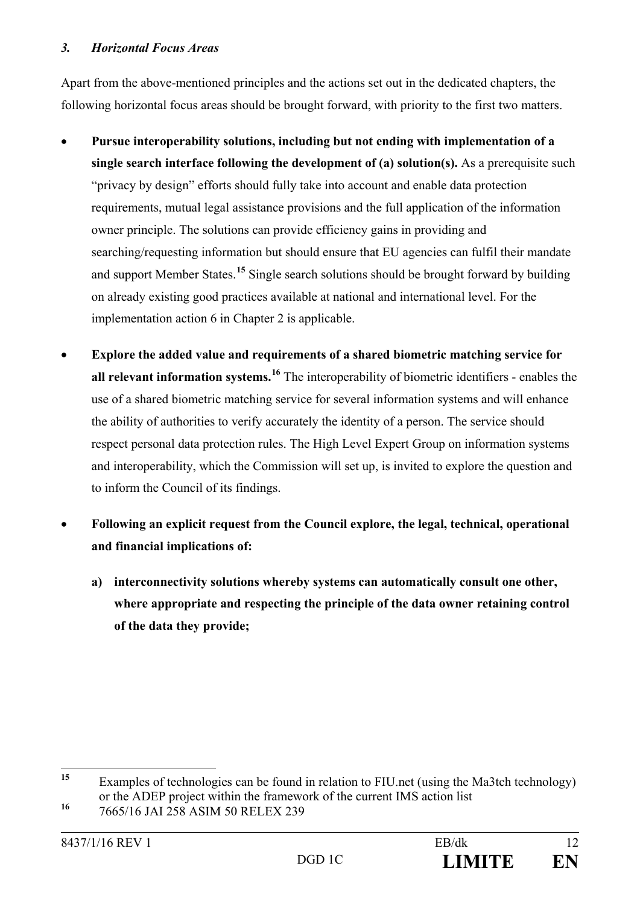## *3. Horizontal Focus Areas*

Apart from the above-mentioned principles and the actions set out in the dedicated chapters, the following horizontal focus areas should be brought forward, with priority to the first two matters.

- **Pursue interoperability solutions, including but not ending with implementation of a single search interface following the development of (a) solution(s).** As a prerequisite such "privacy by design" efforts should fully take into account and enable data protection requirements, mutual legal assistance provisions and the full application of the information owner principle. The solutions can provide efficiency gains in providing and searching/requesting information but should ensure that EU agencies can fulfil their mandate and support Member States.**[15](#page-11-0)** Single search solutions should be brought forward by building on already existing good practices available at national and international level. For the implementation action 6 in Chapter 2 is applicable.
- **Explore the added value and requirements of a shared biometric matching service for all relevant information systems.[16](#page-11-1)** The interoperability of biometric identifiers - enables the use of a shared biometric matching service for several information systems and will enhance the ability of authorities to verify accurately the identity of a person. The service should respect personal data protection rules. The High Level Expert Group on information systems and interoperability, which the Commission will set up, is invited to explore the question and to inform the Council of its findings.
- **Following an explicit request from the Council explore, the legal, technical, operational and financial implications of:** 
	- **a) interconnectivity solutions whereby systems can automatically consult one other, where appropriate and respecting the principle of the data owner retaining control of the data they provide;**

<span id="page-11-0"></span>**<sup>15</sup>** Examples of technologies can be found in relation to FIU.net (using the Ma3tch technology) or the ADEP project within the framework of the current IMS action list

<span id="page-11-1"></span>**<sup>16</sup>** 7665/16 JAI 258 ASIM 50 RELEX 239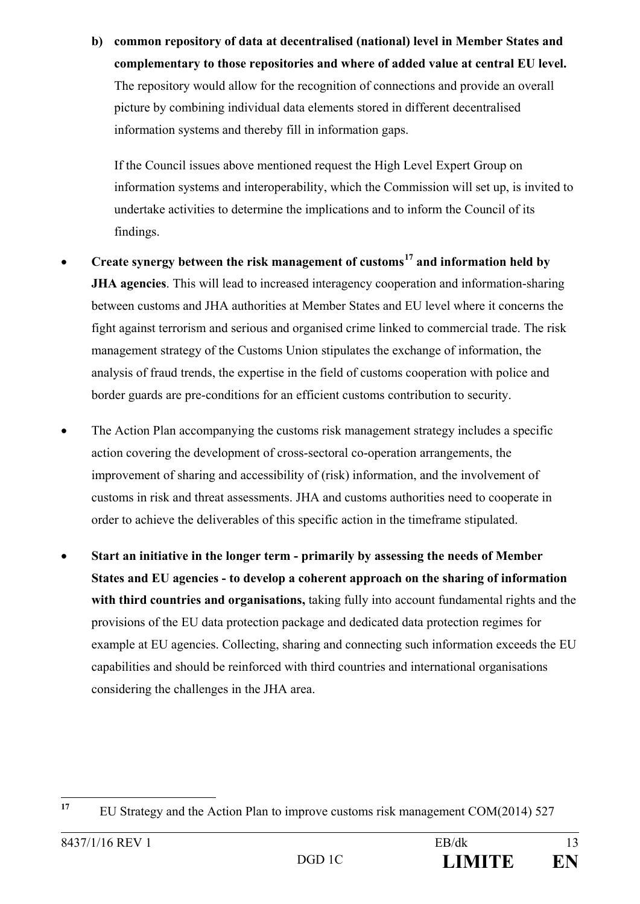**b) common repository of data at decentralised (national) level in Member States and complementary to those repositories and where of added value at central EU level.** The repository would allow for the recognition of connections and provide an overall picture by combining individual data elements stored in different decentralised information systems and thereby fill in information gaps.

If the Council issues above mentioned request the High Level Expert Group on information systems and interoperability, which the Commission will set up, is invited to undertake activities to determine the implications and to inform the Council of its findings.

- **Create synergy between the risk management of customs[17](#page-12-0) and information held by JHA agencies**. This will lead to increased interagency cooperation and information-sharing between customs and JHA authorities at Member States and EU level where it concerns the fight against terrorism and serious and organised crime linked to commercial trade. The risk management strategy of the Customs Union stipulates the exchange of information, the analysis of fraud trends, the expertise in the field of customs cooperation with police and border guards are pre-conditions for an efficient customs contribution to security.
- The Action Plan accompanying the customs risk management strategy includes a specific action covering the development of cross-sectoral co-operation arrangements, the improvement of sharing and accessibility of (risk) information, and the involvement of customs in risk and threat assessments. JHA and customs authorities need to cooperate in order to achieve the deliverables of this specific action in the timeframe stipulated.
- **Start an initiative in the longer term - primarily by assessing the needs of Member States and EU agencies - to develop a coherent approach on the sharing of information with third countries and organisations,** taking fully into account fundamental rights and the provisions of the EU data protection package and dedicated data protection regimes for example at EU agencies. Collecting, sharing and connecting such information exceeds the EU capabilities and should be reinforced with third countries and international organisations considering the challenges in the JHA area.

<span id="page-12-0"></span><sup>&</sup>lt;sup>17</sup> EU Strategy and the Action Plan to improve customs risk management COM(2014) 527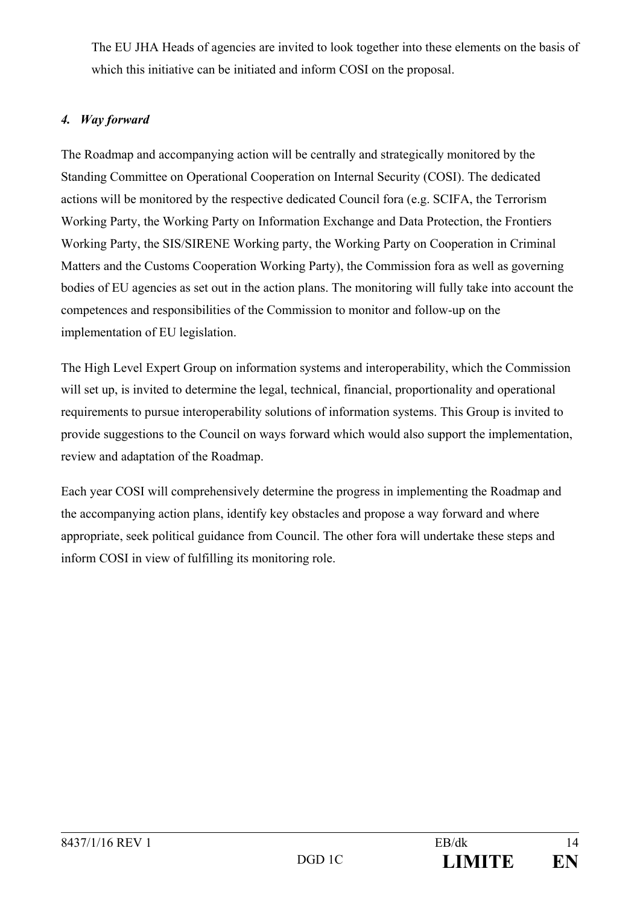The EU JHA Heads of agencies are invited to look together into these elements on the basis of which this initiative can be initiated and inform COSI on the proposal.

# *4. Way forward*

The Roadmap and accompanying action will be centrally and strategically monitored by the Standing Committee on Operational Cooperation on Internal Security (COSI). The dedicated actions will be monitored by the respective dedicated Council fora (e.g. SCIFA, the Terrorism Working Party, the Working Party on Information Exchange and Data Protection, the Frontiers Working Party, the SIS/SIRENE Working party, the Working Party on Cooperation in Criminal Matters and the Customs Cooperation Working Party), the Commission fora as well as governing bodies of EU agencies as set out in the action plans. The monitoring will fully take into account the competences and responsibilities of the Commission to monitor and follow-up on the implementation of EU legislation.

The High Level Expert Group on information systems and interoperability, which the Commission will set up, is invited to determine the legal, technical, financial, proportionality and operational requirements to pursue interoperability solutions of information systems. This Group is invited to provide suggestions to the Council on ways forward which would also support the implementation, review and adaptation of the Roadmap.

Each year COSI will comprehensively determine the progress in implementing the Roadmap and the accompanying action plans, identify key obstacles and propose a way forward and where appropriate, seek political guidance from Council. The other fora will undertake these steps and inform COSI in view of fulfilling its monitoring role.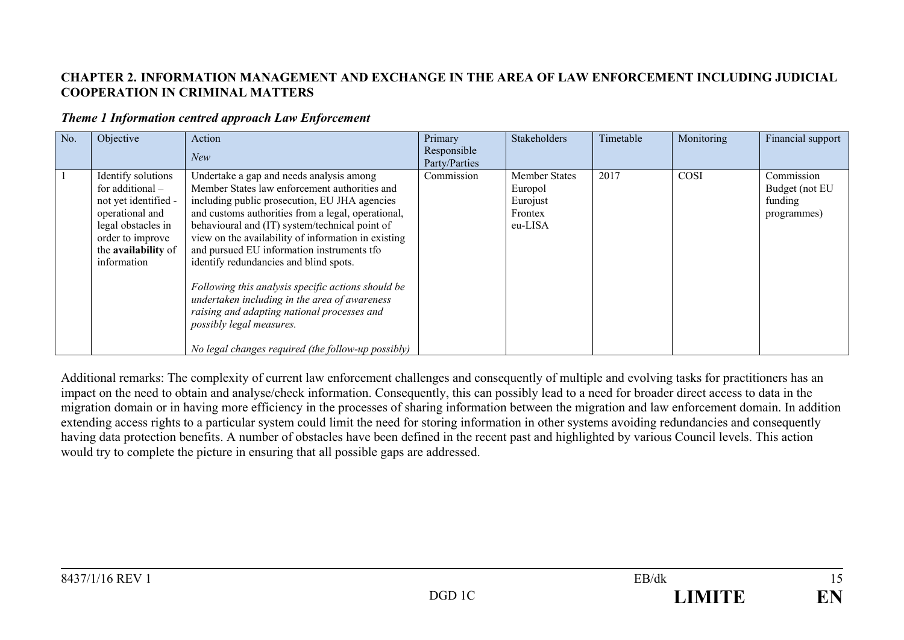## **CHAPTER 2. INFORMATION MANAGEMENT AND EXCHANGE IN THE AREA OF LAW ENFORCEMENT INCLUDING JUDICIAL COOPERATION IN CRIMINAL MATTERS**

#### *Theme 1 Information centred approach Law Enforcement*

| No. | Objective                                                                                                                                                           | Action<br>New                                                                                                                                                                                                                                                                                                                                                                                                                                                                                                                                                                                                                             | Primary<br>Responsible<br>Party/Parties | Stakeholders                                                      | Timetable | Monitoring | Financial support                                      |
|-----|---------------------------------------------------------------------------------------------------------------------------------------------------------------------|-------------------------------------------------------------------------------------------------------------------------------------------------------------------------------------------------------------------------------------------------------------------------------------------------------------------------------------------------------------------------------------------------------------------------------------------------------------------------------------------------------------------------------------------------------------------------------------------------------------------------------------------|-----------------------------------------|-------------------------------------------------------------------|-----------|------------|--------------------------------------------------------|
|     | Identify solutions<br>for additional $-$<br>not yet identified -<br>operational and<br>legal obstacles in<br>order to improve<br>the availability of<br>information | Undertake a gap and needs analysis among<br>Member States law enforcement authorities and<br>including public prosecution, EU JHA agencies<br>and customs authorities from a legal, operational,<br>behavioural and (IT) system/technical point of<br>view on the availability of information in existing<br>and pursued EU information instruments tfo<br>identify redundancies and blind spots.<br>Following this analysis specific actions should be<br>undertaken including in the area of awareness<br>raising and adapting national processes and<br>possibly legal measures.<br>No legal changes required (the follow-up possibly) | Commission                              | <b>Member States</b><br>Europol<br>Eurojust<br>Frontex<br>eu-LISA | 2017      | COSI       | Commission<br>Budget (not EU<br>funding<br>programmes) |

Additional remarks: The complexity of current law enforcement challenges and consequently of multiple and evolving tasks for practitioners has an impact on the need to obtain and analyse/check information. Consequently, this can possibly lead to a need for broader direct access to data in the migration domain or in having more efficiency in the processes of sharing information between the migration and law enforcement domain. In addition extending access rights to a particular system could limit the need for storing information in other systems avoiding redundancies and consequently having data protection benefits. A number of obstacles have been defined in the recent past and highlighted by various Council levels. This action would try to complete the picture in ensuring that all possible gaps are addressed.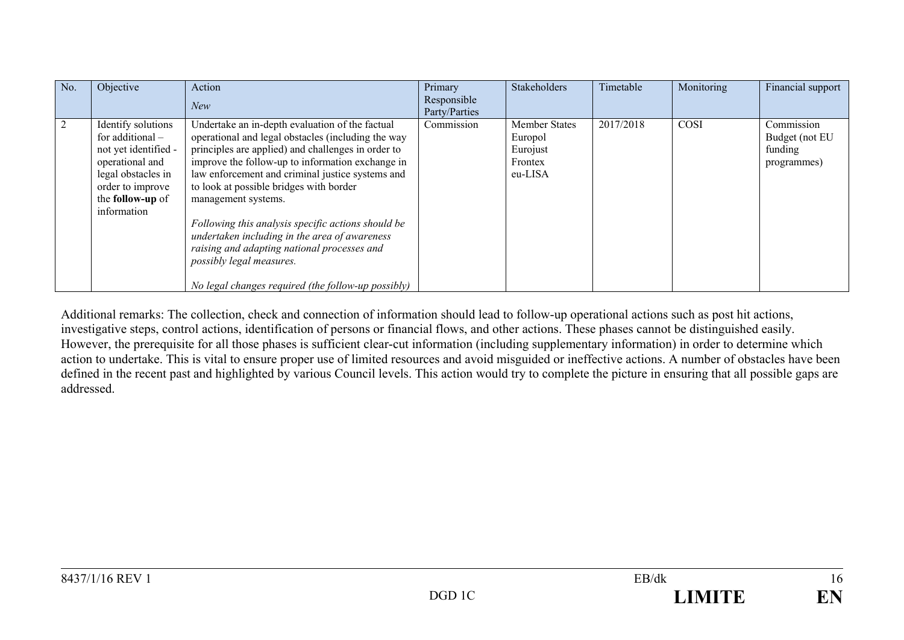| No. | Objective                                                                                                                                                        | Action<br>New                                                                                                                                                                                                                                                                                                                                                                                                                                                                                                                                                                 | Primary<br>Responsible<br>Party/Parties | <b>Stakeholders</b>                                               | Timetable | Monitoring | Financial support                                      |
|-----|------------------------------------------------------------------------------------------------------------------------------------------------------------------|-------------------------------------------------------------------------------------------------------------------------------------------------------------------------------------------------------------------------------------------------------------------------------------------------------------------------------------------------------------------------------------------------------------------------------------------------------------------------------------------------------------------------------------------------------------------------------|-----------------------------------------|-------------------------------------------------------------------|-----------|------------|--------------------------------------------------------|
|     | Identify solutions<br>for additional $-$<br>not yet identified -<br>operational and<br>legal obstacles in<br>order to improve<br>the follow-up of<br>information | Undertake an in-depth evaluation of the factual<br>operational and legal obstacles (including the way<br>principles are applied) and challenges in order to<br>improve the follow-up to information exchange in<br>law enforcement and criminal justice systems and<br>to look at possible bridges with border<br>management systems.<br>Following this analysis specific actions should be<br>undertaken including in the area of awareness<br>raising and adapting national processes and<br>possibly legal measures.<br>No legal changes required (the follow-up possibly) | Commission                              | <b>Member States</b><br>Europol<br>Eurojust<br>Frontex<br>eu-LISA | 2017/2018 | COSI       | Commission<br>Budget (not EU<br>funding<br>programmes) |

Additional remarks: The collection, check and connection of information should lead to follow-up operational actions such as post hit actions, investigative steps, control actions, identification of persons or financial flows, and other actions. These phases cannot be distinguished easily. However, the prerequisite for all those phases is sufficient clear-cut information (including supplementary information) in order to determine which action to undertake. This is vital to ensure proper use of limited resources and avoid misguided or ineffective actions. A number of obstacles have been defined in the recent past and highlighted by various Council levels. This action would try to complete the picture in ensuring that all possible gaps are addressed.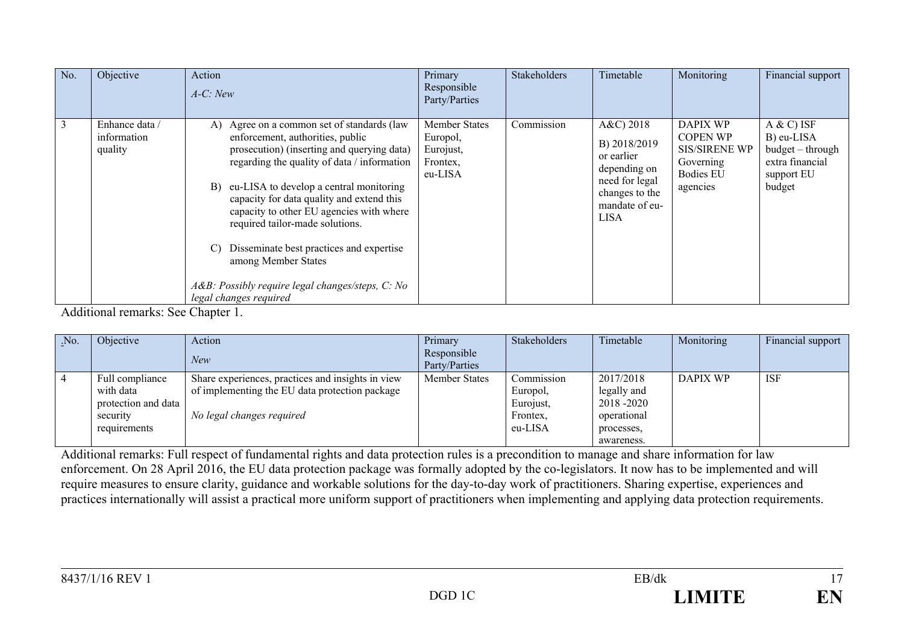| No. | Objective                                | Action<br>$A-C: New$                                                                                                                                                                                                                                                                                                                                                                                                                                                                                                          | Primary<br>Responsible<br>Party/Parties                              | <b>Stakeholders</b> | Timetable                                                                                                                       | Monitoring                                                                                       | Financial support                                                                          |
|-----|------------------------------------------|-------------------------------------------------------------------------------------------------------------------------------------------------------------------------------------------------------------------------------------------------------------------------------------------------------------------------------------------------------------------------------------------------------------------------------------------------------------------------------------------------------------------------------|----------------------------------------------------------------------|---------------------|---------------------------------------------------------------------------------------------------------------------------------|--------------------------------------------------------------------------------------------------|--------------------------------------------------------------------------------------------|
| 3   | Enhance data /<br>information<br>quality | Agree on a common set of standards (law<br>A)<br>enforcement, authorities, public<br>prosecution) (inserting and querying data)<br>regarding the quality of data / information<br>eu-LISA to develop a central monitoring<br>B)<br>capacity for data quality and extend this<br>capacity to other EU agencies with where<br>required tailor-made solutions.<br>Disseminate best practices and expertise<br>$\mathcal{C}$<br>among Member States<br>A&B: Possibly require legal changes/steps, C: No<br>legal changes required | <b>Member States</b><br>Europol,<br>Eurojust,<br>Frontex,<br>eu-LISA | Commission          | $A&C$ ) 2018<br>B) 2018/2019<br>or earlier<br>depending on<br>need for legal<br>changes to the<br>mandate of eu-<br><b>LISA</b> | DAPIX WP<br><b>COPEN WP</b><br><b>SIS/SIRENE WP</b><br>Governing<br><b>Bodies EU</b><br>agencies | $A & C$ ) ISF<br>B) eu-LISA<br>budget - through<br>extra financial<br>support EU<br>budget |

Additional remarks: See Chapter 1.

| $N_{0}$ .      | Objective                                                                       | Action<br><b>New</b>                                                                                                             | Primary<br>Responsible<br>Party/Parties | Stakeholders                                               | Timetable                                                                         | Monitoring      | Financial support |
|----------------|---------------------------------------------------------------------------------|----------------------------------------------------------------------------------------------------------------------------------|-----------------------------------------|------------------------------------------------------------|-----------------------------------------------------------------------------------|-----------------|-------------------|
| $\overline{4}$ | Full compliance<br>with data<br>protection and data<br>security<br>requirements | Share experiences, practices and insights in view<br>of implementing the EU data protection package<br>No legal changes required | <b>Member States</b>                    | Commission<br>Europol.<br>Eurojust,<br>Frontex.<br>eu-LISA | 2017/2018<br>legally and<br>2018 -2020<br>operational<br>processes,<br>awareness. | <b>DAPIX WP</b> | ISF               |

Additional remarks: Full respect of fundamental rights and data protection rules is a precondition to manage and share information for law enforcement. On 28 April 2016, the EU data protection package was formally adopted by the co-legislators. It now has to be implemented and will require measures to ensure clarity, guidance and workable solutions for the day-to-day work of practitioners. Sharing expertise, experiences and practices internationally will assist a practical more uniform support of practitioners when implementing and applying data protection requirements.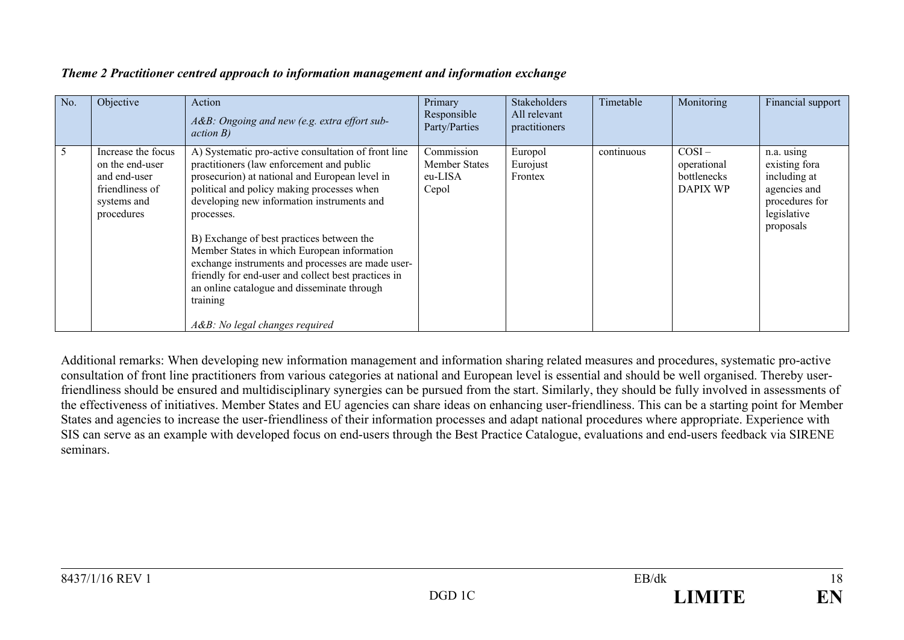| No. | Objective                                                                                             | Action<br>A&B: Ongoing and new (e.g. extra effort sub-<br>action B)                                                                                                                                                                                                                                                                                                                                                                                                                                                                                               | Primary<br>Responsible<br>Party/Parties                | <b>Stakeholders</b><br>All relevant<br>practitioners | Timetable  | Monitoring                                                | Financial support                                                                                         |
|-----|-------------------------------------------------------------------------------------------------------|-------------------------------------------------------------------------------------------------------------------------------------------------------------------------------------------------------------------------------------------------------------------------------------------------------------------------------------------------------------------------------------------------------------------------------------------------------------------------------------------------------------------------------------------------------------------|--------------------------------------------------------|------------------------------------------------------|------------|-----------------------------------------------------------|-----------------------------------------------------------------------------------------------------------|
| 5   | Increase the focus<br>on the end-user<br>and end-user<br>friendliness of<br>systems and<br>procedures | A) Systematic pro-active consultation of front line<br>practitioners (law enforcement and public<br>prosecurion) at national and European level in<br>political and policy making processes when<br>developing new information instruments and<br>processes.<br>B) Exchange of best practices between the<br>Member States in which European information<br>exchange instruments and processes are made user-<br>friendly for end-user and collect best practices in<br>an online catalogue and disseminate through<br>training<br>A&B: No legal changes required | Commission<br><b>Member States</b><br>eu-LISA<br>Cepol | Europol<br>Eurojust<br>Frontex                       | continuous | $COSI -$<br>operational<br>bottlenecks<br><b>DAPIX WP</b> | n.a. using<br>existing fora<br>including at<br>agencies and<br>procedures for<br>legislative<br>proposals |

#### *Theme 2 Practitioner centred approach to information management and information exchange*

Additional remarks: When developing new information management and information sharing related measures and procedures, systematic pro-active consultation of front line practitioners from various categories at national and European level is essential and should be well organised. Thereby userfriendliness should be ensured and multidisciplinary synergies can be pursued from the start. Similarly, they should be fully involved in assessments of the effectiveness of initiatives. Member States and EU agencies can share ideas on enhancing user-friendliness. This can be a starting point for Member States and agencies to increase the user-friendliness of their information processes and adapt national procedures where appropriate. Experience with SIS can serve as an example with developed focus on end-users through the Best Practice Catalogue, evaluations and end-users feedback via SIRENE seminars.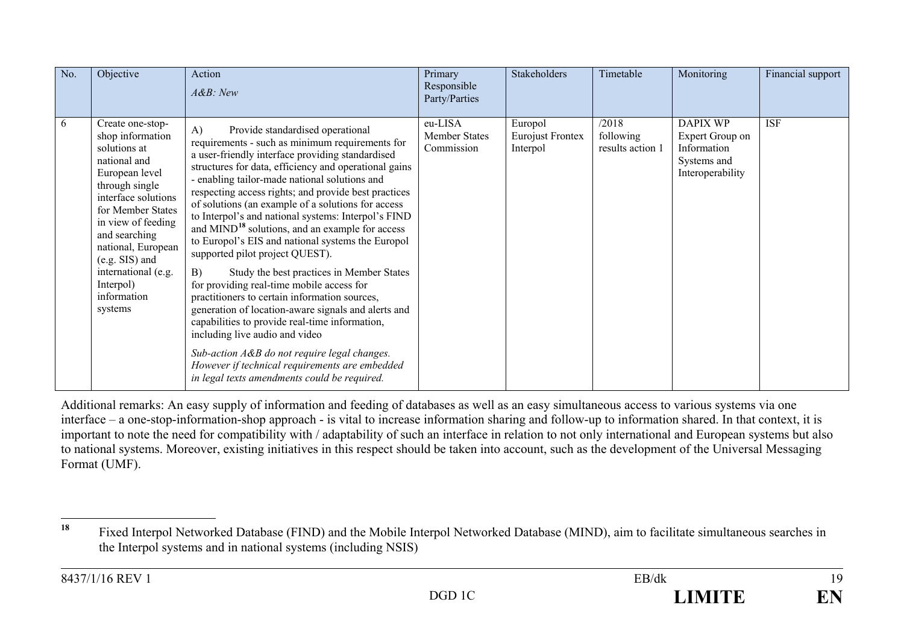<span id="page-18-0"></span>

| No. | Objective                                                                                                                                                                                                                                                                                           | Action<br>$A\&B$ : New                                                                                                                                                                                                                                                                                                                                                                                                                                                                                                                                                                                                                                                                                                                                                                                                                                                                                                                                                                                                                  | Primary<br>Responsible<br>Party/Parties       | Stakeholders                                   | Timetable                              | Monitoring                                                                           | Financial support |
|-----|-----------------------------------------------------------------------------------------------------------------------------------------------------------------------------------------------------------------------------------------------------------------------------------------------------|-----------------------------------------------------------------------------------------------------------------------------------------------------------------------------------------------------------------------------------------------------------------------------------------------------------------------------------------------------------------------------------------------------------------------------------------------------------------------------------------------------------------------------------------------------------------------------------------------------------------------------------------------------------------------------------------------------------------------------------------------------------------------------------------------------------------------------------------------------------------------------------------------------------------------------------------------------------------------------------------------------------------------------------------|-----------------------------------------------|------------------------------------------------|----------------------------------------|--------------------------------------------------------------------------------------|-------------------|
| 6   | Create one-stop-<br>shop information<br>solutions at<br>national and<br>European level<br>through single<br>interface solutions<br>for Member States<br>in view of feeding<br>and searching<br>national, European<br>$(e.g. SIS)$ and<br>international (e.g.<br>Interpol)<br>information<br>systems | $\bf{A}$<br>Provide standardised operational<br>requirements - such as minimum requirements for<br>a user-friendly interface providing standardised<br>structures for data, efficiency and operational gains<br>- enabling tailor-made national solutions and<br>respecting access rights; and provide best practices<br>of solutions (an example of a solutions for access<br>to Interpol's and national systems: Interpol's FIND<br>and MIND <sup>18</sup> solutions, and an example for access<br>to Europol's EIS and national systems the Europol<br>supported pilot project QUEST).<br>B)<br>Study the best practices in Member States<br>for providing real-time mobile access for<br>practitioners to certain information sources,<br>generation of location-aware signals and alerts and<br>capabilities to provide real-time information,<br>including live audio and video<br>Sub-action A&B do not require legal changes.<br>However if technical requirements are embedded<br>in legal texts amendments could be required. | eu-LISA<br><b>Member States</b><br>Commission | Europol<br><b>Eurojust Frontex</b><br>Interpol | /2018<br>following<br>results action 1 | <b>DAPIX WP</b><br>Expert Group on<br>Information<br>Systems and<br>Interoperability | <b>ISF</b>        |

Additional remarks: An easy supply of information and feeding of databases as well as an easy simultaneous access to various systems via one interface – a one-stop-information-shop approach - is vital to increase information sharing and follow-up to information shared. In that context, it is important to note the need for compatibility with / adaptability of such an interface in relation to not only international and European systems but also to national systems. Moreover, existing initiatives in this respect should be taken into account, such as the development of the Universal Messaging Format (UMF).

**<sup>18</sup>** Fixed Interpol Networked Database (FIND) and the Mobile Interpol Networked Database (MIND), aim to facilitate simultaneous searches in the Interpol systems and in national systems (including NSIS)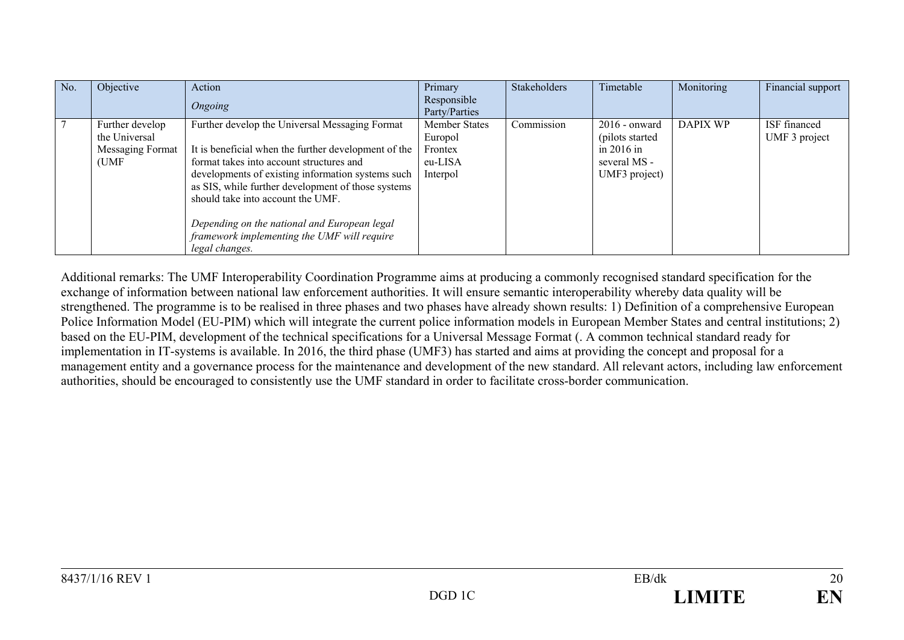| No. | Objective                                                     | Action<br>Ongoing                                                                                                                                                                                                                                                                                                                                                                                                   | Primary<br>Responsible<br>Party/Parties                    | Stakeholders | Timetable                                                                            | Monitoring      | Financial support             |
|-----|---------------------------------------------------------------|---------------------------------------------------------------------------------------------------------------------------------------------------------------------------------------------------------------------------------------------------------------------------------------------------------------------------------------------------------------------------------------------------------------------|------------------------------------------------------------|--------------|--------------------------------------------------------------------------------------|-----------------|-------------------------------|
|     | Further develop<br>the Universal<br>Messaging Format<br>(UMF) | Further develop the Universal Messaging Format<br>It is beneficial when the further development of the<br>format takes into account structures and<br>developments of existing information systems such<br>as SIS, while further development of those systems<br>should take into account the UMF.<br>Depending on the national and European legal<br>framework implementing the UMF will require<br>legal changes. | Member States<br>Europol<br>Frontex<br>eu-LISA<br>Interpol | Commission   | $2016$ - onward<br>(pilots started)<br>in $2016$ in<br>several MS -<br>UMF3 project) | <b>DAPIX WP</b> | ISF financed<br>UMF 3 project |

Additional remarks: The UMF Interoperability Coordination Programme aims at producing a commonly recognised standard specification for the exchange of information between national law enforcement authorities. It will ensure semantic interoperability whereby data quality will be strengthened. The programme is to be realised in three phases and two phases have already shown results: 1) Definition of a comprehensive European Police Information Model (EU-PIM) which will integrate the current police information models in European Member States and central institutions; 2) based on the EU-PIM, development of the technical specifications for a Universal Message Format (. A common technical standard ready for implementation in IT-systems is available. In 2016, the third phase (UMF3) has started and aims at providing the concept and proposal for a management entity and a governance process for the maintenance and development of the new standard. All relevant actors, including law enforcement authorities, should be encouraged to consistently use the UMF standard in order to facilitate cross-border communication.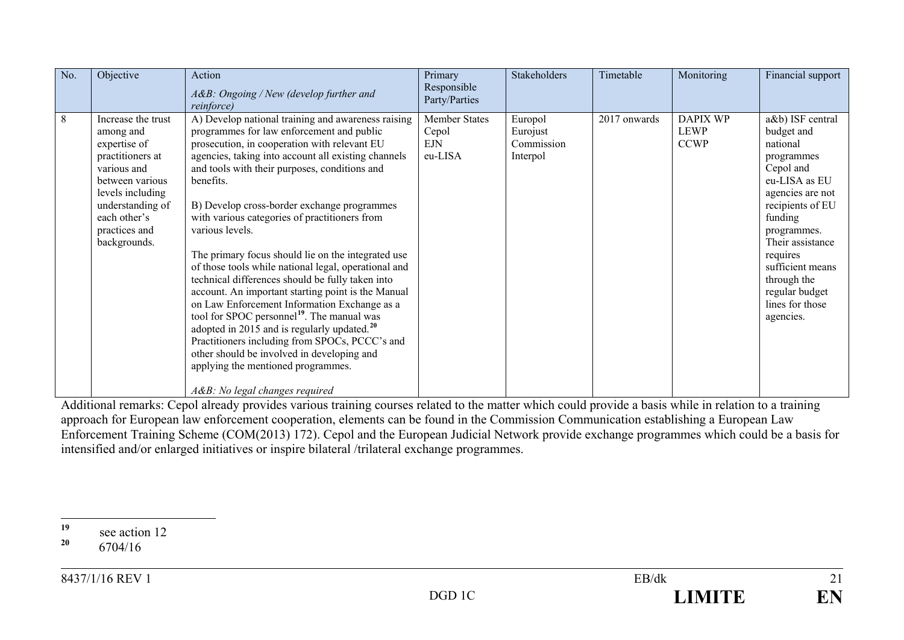<span id="page-20-1"></span><span id="page-20-0"></span>

| No. | Objective                                                                                                                                                                                      | Action<br>A&B: Ongoing / New (develop further and<br>reinforce)                                                                                                                                                                                                                                                                                                                                                                                                                                                                                                                                                                                                                                                                                                                                                                                                                                                                                        | Primary<br>Responsible<br>Party/Parties         | Stakeholders                                  | Timetable    | Monitoring                             | Financial support                                                                                                                                                                                                                                                             |
|-----|------------------------------------------------------------------------------------------------------------------------------------------------------------------------------------------------|--------------------------------------------------------------------------------------------------------------------------------------------------------------------------------------------------------------------------------------------------------------------------------------------------------------------------------------------------------------------------------------------------------------------------------------------------------------------------------------------------------------------------------------------------------------------------------------------------------------------------------------------------------------------------------------------------------------------------------------------------------------------------------------------------------------------------------------------------------------------------------------------------------------------------------------------------------|-------------------------------------------------|-----------------------------------------------|--------------|----------------------------------------|-------------------------------------------------------------------------------------------------------------------------------------------------------------------------------------------------------------------------------------------------------------------------------|
| 8   | Increase the trust<br>among and<br>expertise of<br>practitioners at<br>various and<br>between various<br>levels including<br>understanding of<br>each other's<br>practices and<br>backgrounds. | A) Develop national training and awareness raising<br>programmes for law enforcement and public<br>prosecution, in cooperation with relevant EU<br>agencies, taking into account all existing channels<br>and tools with their purposes, conditions and<br>benefits.<br>B) Develop cross-border exchange programmes<br>with various categories of practitioners from<br>various levels.<br>The primary focus should lie on the integrated use<br>of those tools while national legal, operational and<br>technical differences should be fully taken into<br>account. An important starting point is the Manual<br>on Law Enforcement Information Exchange as a<br>tool for SPOC personnel <sup>19</sup> . The manual was<br>adopted in 2015 and is regularly updated. $^{20}$<br>Practitioners including from SPOCs, PCCC's and<br>other should be involved in developing and<br>applying the mentioned programmes.<br>A&B: No legal changes required | <b>Member States</b><br>Cepol<br>EJN<br>eu-LISA | Europol<br>Eurojust<br>Commission<br>Interpol | 2017 onwards | <b>DAPIX WP</b><br>LEWP<br><b>CCWP</b> | a&b) ISF central<br>budget and<br>national<br>programmes<br>Cepol and<br>eu-LISA as EU<br>agencies are not<br>recipients of EU<br>funding<br>programmes.<br>Their assistance<br>requires<br>sufficient means<br>through the<br>regular budget<br>lines for those<br>agencies. |

Additional remarks: Cepol already provides various training courses related to the matter which could provide a basis while in relation to a training approach for European law enforcement cooperation, elements can be found in the Commission Communication establishing a European Law Enforcement Training Scheme (COM(2013) 172). Cepol and the European Judicial Network provide exchange programmes which could be a basis for intensified and/or enlarged initiatives or inspire bilateral /trilateral exchange programmes.

 $19$  see action 12<br>20<br>*C*<sub>20</sub>4/16 **<sup>20</sup>** 6704/16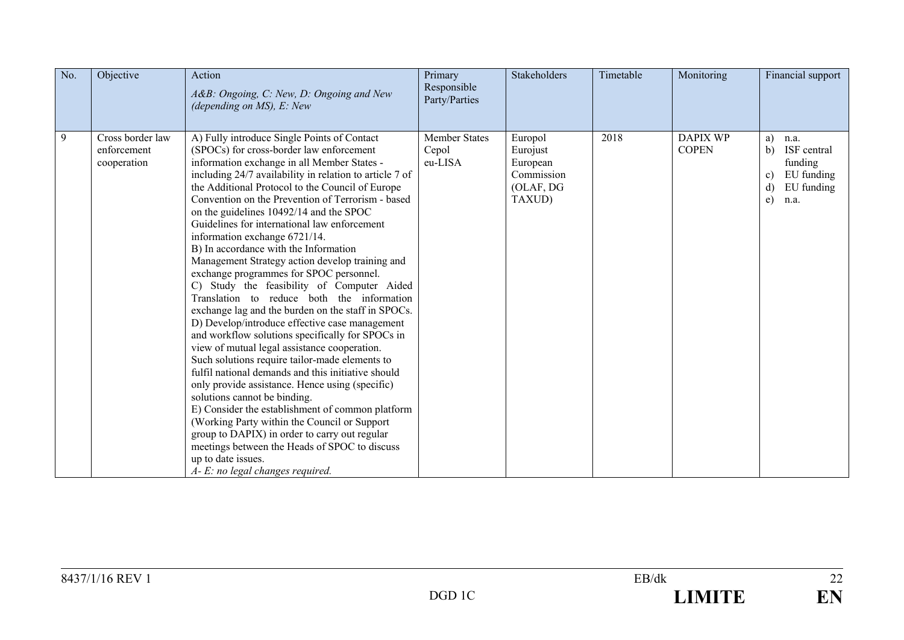| No. | Objective                                      | Action<br>A&B: Ongoing, C: New, D: Ongoing and New<br>(depending on $MS$ ), E: New                                                                                                                                                                                                                                                                                                                                                                                                                                                                                                                                                                                                                                                                                                                                                                                                                                                                                                                                                                                                                                                                                                                                                                                                                                                                | Primary<br>Responsible<br>Party/Parties  | <b>Stakeholders</b>                                                  | Timetable | Monitoring                      | Financial support                                                                                |
|-----|------------------------------------------------|---------------------------------------------------------------------------------------------------------------------------------------------------------------------------------------------------------------------------------------------------------------------------------------------------------------------------------------------------------------------------------------------------------------------------------------------------------------------------------------------------------------------------------------------------------------------------------------------------------------------------------------------------------------------------------------------------------------------------------------------------------------------------------------------------------------------------------------------------------------------------------------------------------------------------------------------------------------------------------------------------------------------------------------------------------------------------------------------------------------------------------------------------------------------------------------------------------------------------------------------------------------------------------------------------------------------------------------------------|------------------------------------------|----------------------------------------------------------------------|-----------|---------------------------------|--------------------------------------------------------------------------------------------------|
| 9   | Cross border law<br>enforcement<br>cooperation | A) Fully introduce Single Points of Contact<br>(SPOCs) for cross-border law enforcement<br>information exchange in all Member States -<br>including 24/7 availability in relation to article 7 of<br>the Additional Protocol to the Council of Europe<br>Convention on the Prevention of Terrorism - based<br>on the guidelines 10492/14 and the SPOC<br>Guidelines for international law enforcement<br>information exchange 6721/14.<br>B) In accordance with the Information<br>Management Strategy action develop training and<br>exchange programmes for SPOC personnel.<br>C) Study the feasibility of Computer Aided<br>Translation to reduce both the information<br>exchange lag and the burden on the staff in SPOCs.<br>D) Develop/introduce effective case management<br>and workflow solutions specifically for SPOCs in<br>view of mutual legal assistance cooperation.<br>Such solutions require tailor-made elements to<br>fulfil national demands and this initiative should<br>only provide assistance. Hence using (specific)<br>solutions cannot be binding.<br>E) Consider the establishment of common platform<br>(Working Party within the Council or Support)<br>group to DAPIX) in order to carry out regular<br>meetings between the Heads of SPOC to discuss<br>up to date issues.<br>A- E: no legal changes required. | <b>Member States</b><br>Cepol<br>eu-LISA | Europol<br>Eurojust<br>European<br>Commission<br>(OLAF, DG<br>TAXUD) | 2018      | <b>DAPIX WP</b><br><b>COPEN</b> | a)<br>n.a.<br>ISF central<br>b)<br>funding<br>EU funding<br>c)<br>EU funding<br>d)<br>e)<br>n.a. |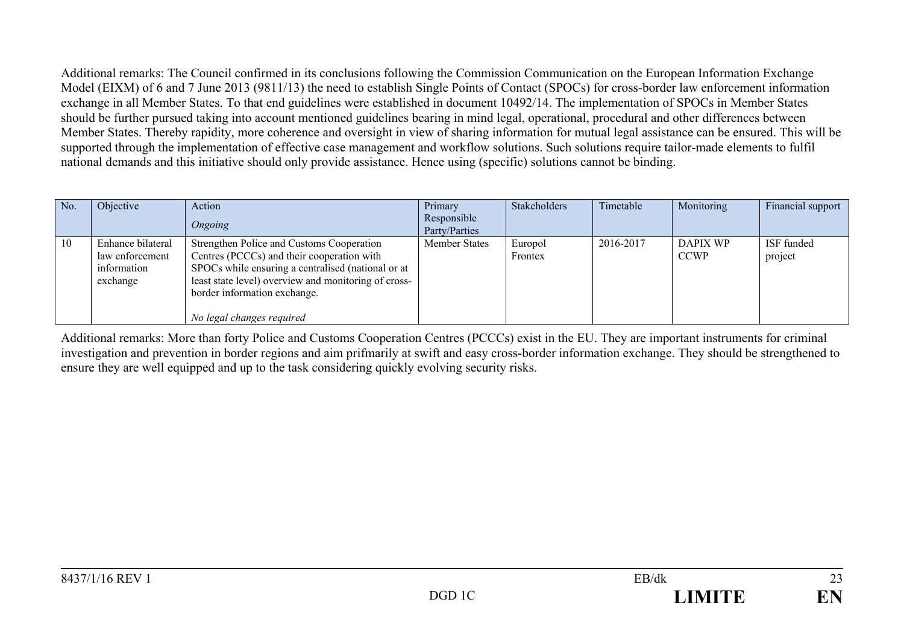Additional remarks: The Council confirmed in its conclusions following the Commission Communication on the European Information Exchange Model (EIXM) of 6 and 7 June 2013 (9811/13) the need to establish Single Points of Contact (SPOCs) for cross-border law enforcement information exchange in all Member States. To that end guidelines were established in document 10492/14. The implementation of SPOCs in Member States should be further pursued taking into account mentioned guidelines bearing in mind legal, operational, procedural and other differences between Member States. Thereby rapidity, more coherence and oversight in view of sharing information for mutual legal assistance can be ensured. This will be supported through the implementation of effective case management and workflow solutions. Such solutions require tailor-made elements to fulfil national demands and this initiative should only provide assistance. Hence using (specific) solutions cannot be binding.

| No. | Objective         | Action                                               | Primary                      | Stakeholders | Timetable | Monitoring      | Financial support |
|-----|-------------------|------------------------------------------------------|------------------------------|--------------|-----------|-----------------|-------------------|
|     |                   | Ongoing                                              | Responsible<br>Party/Parties |              |           |                 |                   |
|     |                   |                                                      |                              |              |           |                 |                   |
| 10  | Enhance bilateral | Strengthen Police and Customs Cooperation            | <b>Member States</b>         | Europol      | 2016-2017 | <b>DAPIX WP</b> | ISF funded        |
|     | law enforcement   | Centres (PCCCs) and their cooperation with           |                              | Frontex      |           | <b>CCWP</b>     | project           |
|     | information       | SPOCs while ensuring a centralised (national or at   |                              |              |           |                 |                   |
|     | exchange          | least state level) overview and monitoring of cross- |                              |              |           |                 |                   |
|     |                   | border information exchange.                         |                              |              |           |                 |                   |
|     |                   |                                                      |                              |              |           |                 |                   |
|     |                   | No legal changes required                            |                              |              |           |                 |                   |

Additional remarks: More than forty Police and Customs Cooperation Centres (PCCCs) exist in the EU. They are important instruments for criminal investigation and prevention in border regions and aim prifmarily at swift and easy cross-border information exchange. They should be strengthened to ensure they are well equipped and up to the task considering quickly evolving security risks.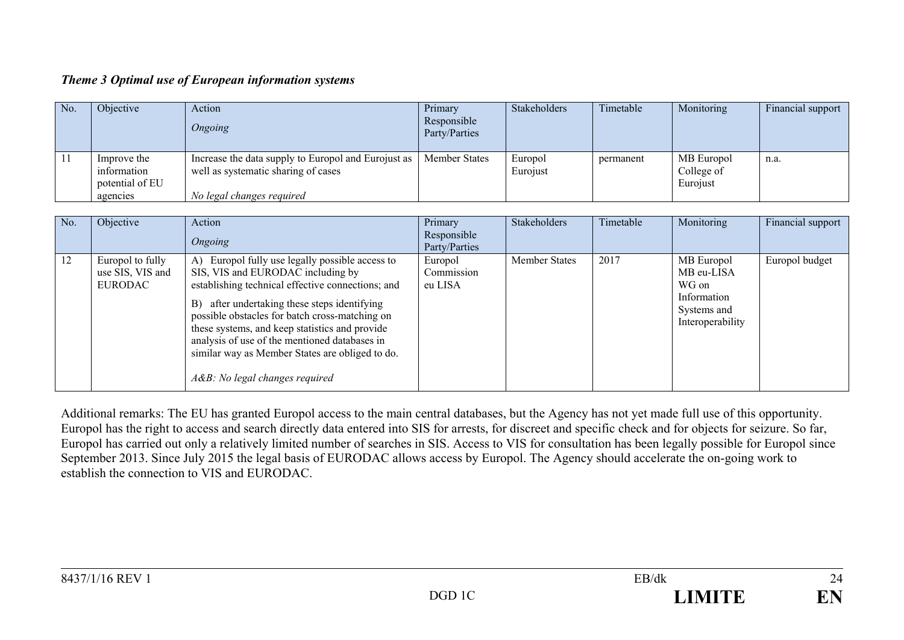#### *Theme 3 Optimal use of European information systems*

| No. | Objective                                     | Action<br>Ongoing                                                                          | Primary<br>Responsible<br>Party/Parties | <b>Stakeholders</b> | Timetable | Monitoring                           | Financial support |
|-----|-----------------------------------------------|--------------------------------------------------------------------------------------------|-----------------------------------------|---------------------|-----------|--------------------------------------|-------------------|
|     | Improve the<br>information<br>potential of EU | Increase the data supply to Europol and Eurojust as<br>well as systematic sharing of cases | <b>Member States</b>                    | Europol<br>Eurojust | permanent | MB Europol<br>College of<br>Eurojust | n.a.              |
|     | agencies                                      | No legal changes required                                                                  |                                         |                     |           |                                      |                   |

| No. | Objective                                              | Action                                                                                                                                                                                                                                                                                                                                                                                                                                 | Primary                          | <b>Stakeholders</b>  | Timetable | Monitoring                                                                          | Financial support |
|-----|--------------------------------------------------------|----------------------------------------------------------------------------------------------------------------------------------------------------------------------------------------------------------------------------------------------------------------------------------------------------------------------------------------------------------------------------------------------------------------------------------------|----------------------------------|----------------------|-----------|-------------------------------------------------------------------------------------|-------------------|
|     |                                                        | Ongoing                                                                                                                                                                                                                                                                                                                                                                                                                                | Responsible<br>Party/Parties     |                      |           |                                                                                     |                   |
| 12  | Europol to fully<br>use SIS, VIS and<br><b>EURODAC</b> | A) Europol fully use legally possible access to<br>SIS, VIS and EURODAC including by<br>establishing technical effective connections; and<br>after undertaking these steps identifying<br>B)<br>possible obstacles for batch cross-matching on<br>these systems, and keep statistics and provide<br>analysis of use of the mentioned databases in<br>similar way as Member States are obliged to do.<br>A&B: No legal changes required | Europol<br>Commission<br>eu LISA | <b>Member States</b> | 2017      | MB Europol<br>MB eu-LISA<br>WG on<br>Information<br>Systems and<br>Interoperability | Europol budget    |

Additional remarks: The EU has granted Europol access to the main central databases, but the Agency has not yet made full use of this opportunity. Europol has the right to access and search directly data entered into SIS for arrests, for discreet and specific check and for objects for seizure. So far, Europol has carried out only a relatively limited number of searches in SIS. Access to VIS for consultation has been legally possible for Europol since September 2013. Since July 2015 the legal basis of EURODAC allows access by Europol. The Agency should accelerate the on-going work to establish the connection to VIS and EURODAC.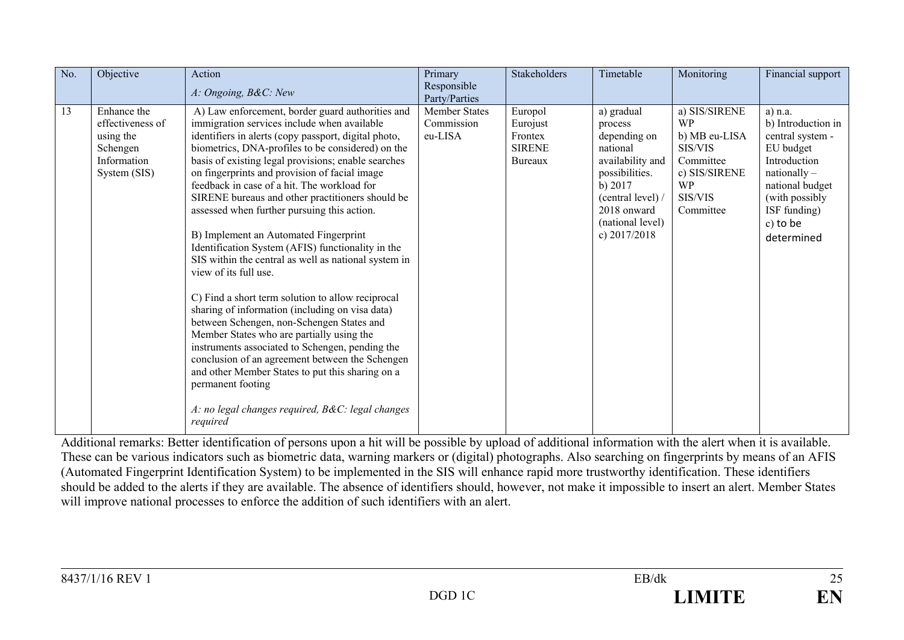| No. | Objective                                                                               | Action<br>A: Ongoing, B&C: New                                                                                                                                                                                                                                                                                                                                                                                                                                                                                                                                                                                                                                                                                                                                                                                                                                                                                                                                                                                                                                                                         | Primary<br>Responsible<br>Party/Parties       | Stakeholders                                               | Timetable                                                                                                                                                                    | Monitoring                                                                                                                | Financial support                                                                                                                                                                  |
|-----|-----------------------------------------------------------------------------------------|--------------------------------------------------------------------------------------------------------------------------------------------------------------------------------------------------------------------------------------------------------------------------------------------------------------------------------------------------------------------------------------------------------------------------------------------------------------------------------------------------------------------------------------------------------------------------------------------------------------------------------------------------------------------------------------------------------------------------------------------------------------------------------------------------------------------------------------------------------------------------------------------------------------------------------------------------------------------------------------------------------------------------------------------------------------------------------------------------------|-----------------------------------------------|------------------------------------------------------------|------------------------------------------------------------------------------------------------------------------------------------------------------------------------------|---------------------------------------------------------------------------------------------------------------------------|------------------------------------------------------------------------------------------------------------------------------------------------------------------------------------|
| 13  | Enhance the<br>effectiveness of<br>using the<br>Schengen<br>Information<br>System (SIS) | A) Law enforcement, border guard authorities and<br>immigration services include when available<br>identifiers in alerts (copy passport, digital photo,<br>biometrics, DNA-profiles to be considered) on the<br>basis of existing legal provisions; enable searches<br>on fingerprints and provision of facial image<br>feedback in case of a hit. The workload for<br>SIRENE bureaus and other practitioners should be<br>assessed when further pursuing this action.<br>B) Implement an Automated Fingerprint<br>Identification System (AFIS) functionality in the<br>SIS within the central as well as national system in<br>view of its full use.<br>C) Find a short term solution to allow reciprocal<br>sharing of information (including on visa data)<br>between Schengen, non-Schengen States and<br>Member States who are partially using the<br>instruments associated to Schengen, pending the<br>conclusion of an agreement between the Schengen<br>and other Member States to put this sharing on a<br>permanent footing<br>A: no legal changes required, B&C: legal changes<br>required | <b>Member States</b><br>Commission<br>eu-LISA | Europol<br>Eurojust<br>Frontex<br><b>SIRENE</b><br>Bureaux | a) gradual<br>process<br>depending on<br>national<br>availability and<br>possibilities.<br>b) 2017<br>(central level) /<br>2018 onward<br>(national level)<br>c) $2017/2018$ | a) SIS/SIRENE<br><b>WP</b><br>b) MB eu-LISA<br>SIS/VIS<br>Committee<br>c) SIS/SIRENE<br><b>WP</b><br>SIS/VIS<br>Committee | $a)$ n.a.<br>b) Introduction in<br>central system -<br>EU budget<br>Introduction<br>$nationally -$<br>national budget<br>(with possibly)<br>ISF funding)<br>c) to be<br>determined |

Additional remarks: Better identification of persons upon a hit will be possible by upload of additional information with the alert when it is available. These can be various indicators such as biometric data, warning markers or (digital) photographs. Also searching on fingerprints by means of an AFIS (Automated Fingerprint Identification System) to be implemented in the SIS will enhance rapid more trustworthy identification. These identifiers should be added to the alerts if they are available. The absence of identifiers should, however, not make it impossible to insert an alert. Member States will improve national processes to enforce the addition of such identifiers with an alert.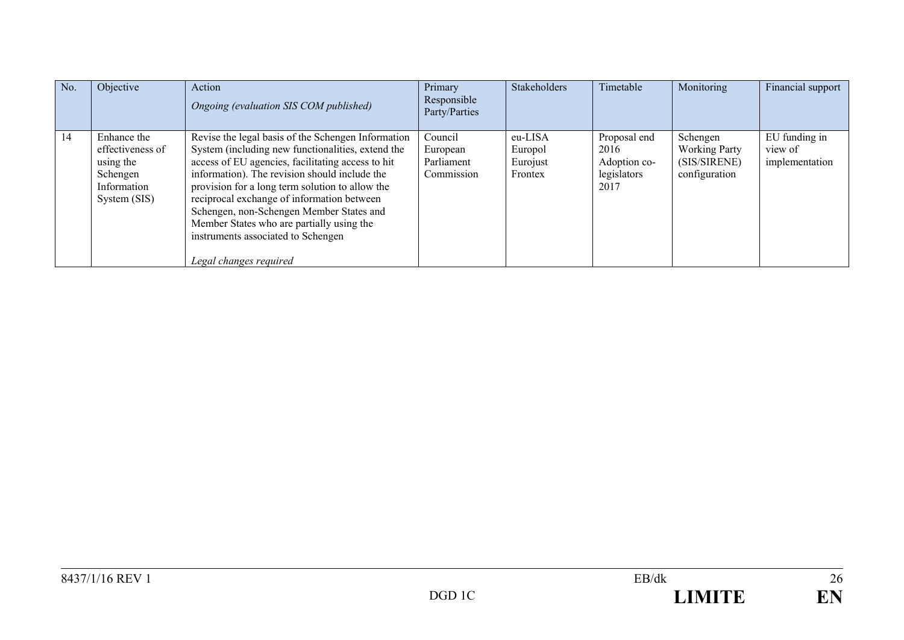| No. | Objective                                                                               | Action<br>Ongoing (evaluation SIS COM published)                                                                                                                                                                                                                                                                                                                                                                                                                        | Primary<br>Responsible<br>Party/Parties         | Stakeholders                              | Timetable                                                   | Monitoring                                                        | Financial support                          |
|-----|-----------------------------------------------------------------------------------------|-------------------------------------------------------------------------------------------------------------------------------------------------------------------------------------------------------------------------------------------------------------------------------------------------------------------------------------------------------------------------------------------------------------------------------------------------------------------------|-------------------------------------------------|-------------------------------------------|-------------------------------------------------------------|-------------------------------------------------------------------|--------------------------------------------|
| 14  | Enhance the<br>effectiveness of<br>using the<br>Schengen<br>Information<br>System (SIS) | Revise the legal basis of the Schengen Information<br>System (including new functionalities, extend the<br>access of EU agencies, facilitating access to hit<br>information). The revision should include the<br>provision for a long term solution to allow the<br>reciprocal exchange of information between<br>Schengen, non-Schengen Member States and<br>Member States who are partially using the<br>instruments associated to Schengen<br>Legal changes required | Council<br>European<br>Parliament<br>Commission | eu-LISA<br>Europol<br>Eurojust<br>Frontex | Proposal end<br>2016<br>Adoption co-<br>legislators<br>2017 | Schengen<br><b>Working Party</b><br>(SIS/SIRENE)<br>configuration | EU funding in<br>view of<br>implementation |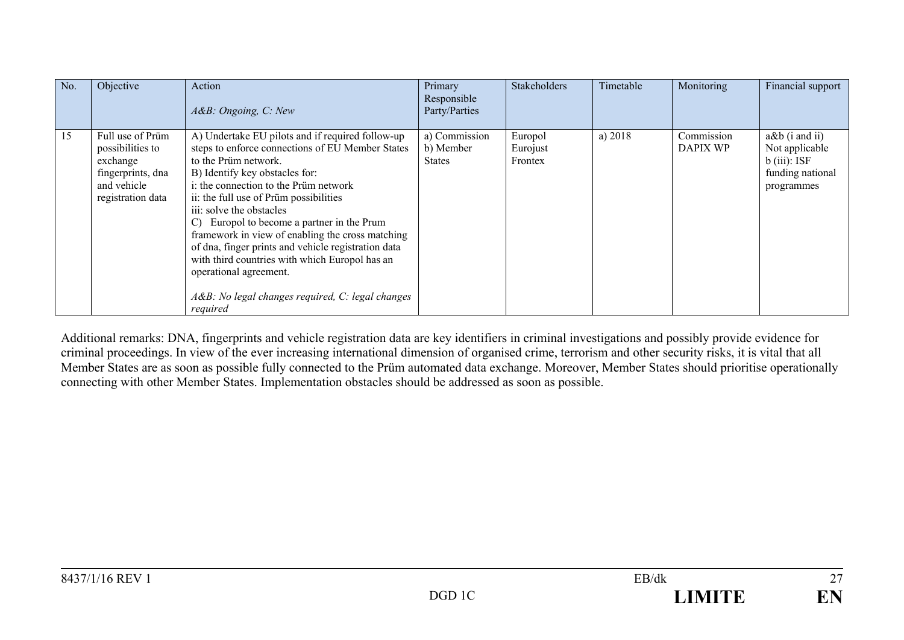| No. | Objective                                                                                                 | Action<br>A&B: Ongoing, C: New                                                                                                                                                                                                                                                                                                                                                                                                                                                                                                                                                                   | Primary<br>Responsible<br>Party/Parties     | Stakeholders                   | Timetable | Monitoring             | Financial support                                                                       |
|-----|-----------------------------------------------------------------------------------------------------------|--------------------------------------------------------------------------------------------------------------------------------------------------------------------------------------------------------------------------------------------------------------------------------------------------------------------------------------------------------------------------------------------------------------------------------------------------------------------------------------------------------------------------------------------------------------------------------------------------|---------------------------------------------|--------------------------------|-----------|------------------------|-----------------------------------------------------------------------------------------|
| 15  | Full use of Prüm<br>possibilities to<br>exchange<br>fingerprints, dna<br>and vehicle<br>registration data | A) Undertake EU pilots and if required follow-up<br>steps to enforce connections of EU Member States<br>to the Prüm network.<br>B) Identify key obstacles for:<br>i: the connection to the Prüm network<br>ii: the full use of Prüm possibilities<br>iii: solve the obstacles<br>Europol to become a partner in the Prum<br>$\mathcal{C}$<br>framework in view of enabling the cross matching<br>of dna, finger prints and vehicle registration data<br>with third countries with which Europol has an<br>operational agreement.<br>A&B: No legal changes required, C: legal changes<br>required | a) Commission<br>b) Member<br><b>States</b> | Europol<br>Eurojust<br>Frontex | a) 2018   | Commission<br>DAPIX WP | $a\&b$ (i and ii)<br>Not applicable<br>$b$ (iii): ISF<br>funding national<br>programmes |

Additional remarks: DNA, fingerprints and vehicle registration data are key identifiers in criminal investigations and possibly provide evidence for criminal proceedings. In view of the ever increasing international dimension of organised crime, terrorism and other security risks, it is vital that all Member States are as soon as possible fully connected to the Prüm automated data exchange. Moreover, Member States should prioritise operationally connecting with other Member States. Implementation obstacles should be addressed as soon as possible.

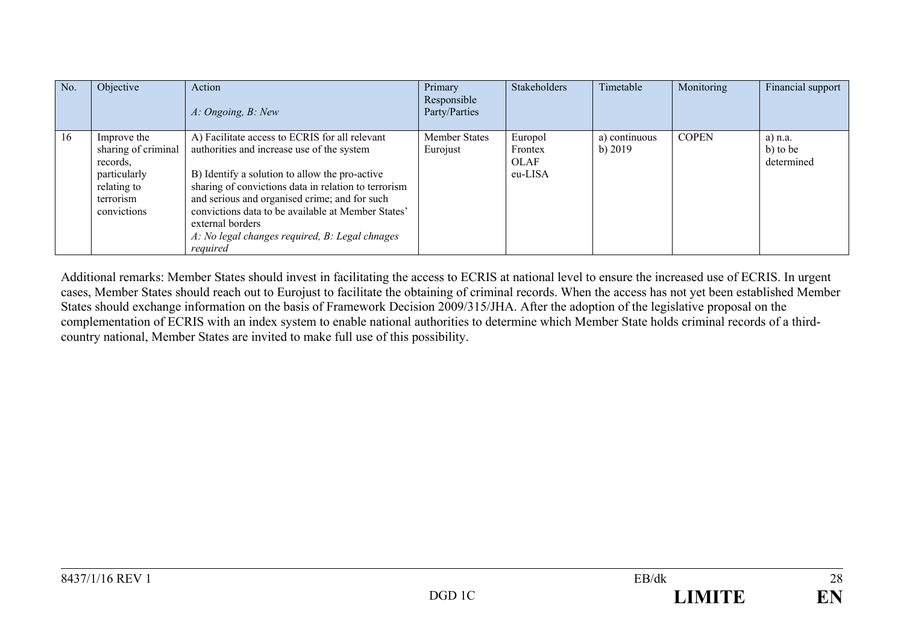| No. | Objective                                                                                                 | Action<br>A: Ongoing, B: New                                                                                                                                                                                                                                                                                                                                                                    | Primary<br>Responsible<br>Party/Parties | Stakeholders                                 | Timetable                  | Monitoring   | Financial support                   |
|-----|-----------------------------------------------------------------------------------------------------------|-------------------------------------------------------------------------------------------------------------------------------------------------------------------------------------------------------------------------------------------------------------------------------------------------------------------------------------------------------------------------------------------------|-----------------------------------------|----------------------------------------------|----------------------------|--------------|-------------------------------------|
| 16  | Improve the<br>sharing of criminal<br>records.<br>particularly<br>relating to<br>terrorism<br>convictions | A) Facilitate access to ECRIS for all relevant<br>authorities and increase use of the system<br>B) Identify a solution to allow the pro-active<br>sharing of convictions data in relation to terrorism<br>and serious and organised crime; and for such<br>convictions data to be available at Member States'<br>external borders<br>A: No legal changes required, B: Legal chnages<br>required | <b>Member States</b><br>Eurojust        | Europol<br>Frontex<br><b>OLAF</b><br>eu-LISA | a) continuous<br>b) $2019$ | <b>COPEN</b> | $a)$ n.a.<br>b) to be<br>determined |

Additional remarks: Member States should invest in facilitating the access to ECRIS at national level to ensure the increased use of ECRIS. In urgent cases, Member States should reach out to Eurojust to facilitate the obtaining of criminal records. When the access has not yet been established Member States should exchange information on the basis of Framework Decision 2009/315/JHA. After the adoption of the legislative proposal on the complementation of ECRIS with an index system to enable national authorities to determine which Member State holds criminal records of a thirdcountry national, Member States are invited to make full use of this possibility.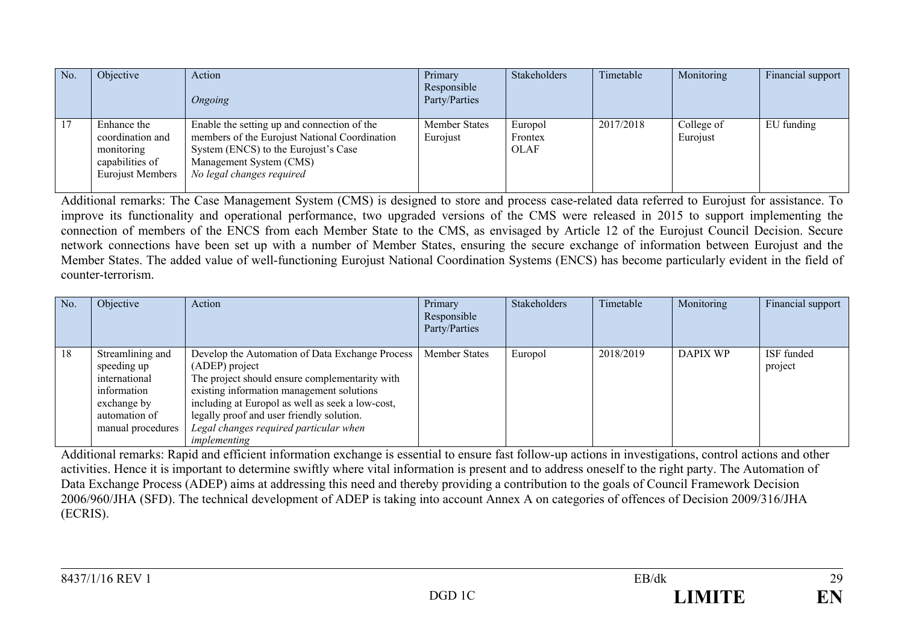| No. | Objective                                                                                   | Action<br>Ongoing                                                                                                                                                                            | Primary<br>Responsible<br>Party/Parties | Stakeholders                      | Timetable | Monitoring             | Financial support |
|-----|---------------------------------------------------------------------------------------------|----------------------------------------------------------------------------------------------------------------------------------------------------------------------------------------------|-----------------------------------------|-----------------------------------|-----------|------------------------|-------------------|
| 17  | Enhance the<br>coordination and<br>monitoring<br>capabilities of<br><b>Eurojust Members</b> | Enable the setting up and connection of the<br>members of the Eurojust National Coordination<br>System (ENCS) to the Eurojust's Case<br>Management System (CMS)<br>No legal changes required | Member States<br>Eurojust               | Europol<br>Frontex<br><b>OLAF</b> | 2017/2018 | College of<br>Eurojust | EU funding        |

Additional remarks: The Case Management System (CMS) is designed to store and process case-related data referred to Eurojust for assistance. To improve its functionality and operational performance, two upgraded versions of the CMS were released in 2015 to support implementing the connection of members of the ENCS from each Member State to the CMS, as envisaged by Article 12 of the Eurojust Council Decision. Secure network connections have been set up with a number of Member States, ensuring the secure exchange of information between Eurojust and the Member States. The added value of well-functioning Eurojust National Coordination Systems (ENCS) has become particularly evident in the field of counter-terrorism.

| No. | Objective                                                                                                            | Action                                                                                                                                                                                                                                                                                                                      | Primary<br>Responsible<br>Party/Parties | <b>Stakeholders</b> | Timetable | Monitoring | Financial support     |
|-----|----------------------------------------------------------------------------------------------------------------------|-----------------------------------------------------------------------------------------------------------------------------------------------------------------------------------------------------------------------------------------------------------------------------------------------------------------------------|-----------------------------------------|---------------------|-----------|------------|-----------------------|
| 18  | Streamlining and<br>speeding up<br>international<br>information<br>exchange by<br>automation of<br>manual procedures | Develop the Automation of Data Exchange Process<br>(ADEP) project<br>The project should ensure complementarity with<br>existing information management solutions<br>including at Europol as well as seek a low-cost,<br>legally proof and user friendly solution.<br>Legal changes required particular when<br>implementing | Member States                           | Europol             | 2018/2019 | DAPIX WP   | ISF funded<br>project |

Additional remarks: Rapid and efficient information exchange is essential to ensure fast follow-up actions in investigations, control actions and other activities. Hence it is important to determine swiftly where vital information is present and to address oneself to the right party. The Automation of Data Exchange Process (ADEP) aims at addressing this need and thereby providing a contribution to the goals of Council Framework Decision 2006/960/JHA (SFD). The technical development of ADEP is taking into account Annex A on categories of offences of Decision 2009/316/JHA (ECRIS).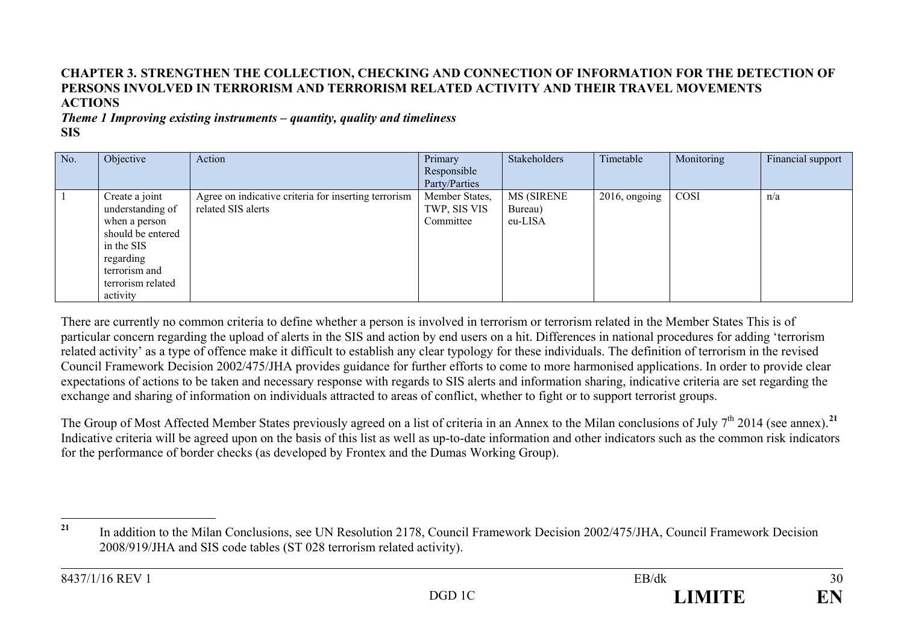# <span id="page-29-0"></span>**CHAPTER 3. STRENGTHEN THE COLLECTION, CHECKING AND CONNECTION OF INFORMATION FOR THE DETECTION OF PERSONS INVOLVED IN TERRORISM AND TERRORISM RELATED ACTIVITY AND THEIR TRAVEL MOVEMENTS ACTIONS**

*Theme 1 Improving existing instruments – quantity, quality and timeliness* **SIS**

| No. | Objective         | Action                                               | Primary        | Stakeholders      | Timetable        | Monitoring | Financial support |
|-----|-------------------|------------------------------------------------------|----------------|-------------------|------------------|------------|-------------------|
|     |                   |                                                      | Responsible    |                   |                  |            |                   |
|     |                   |                                                      | Party/Parties  |                   |                  |            |                   |
|     | Create a joint    | Agree on indicative criteria for inserting terrorism | Member States, | <b>MS (SIRENE</b> | $2016$ , ongoing | COSI       | n/a               |
|     | understanding of  | related SIS alerts                                   | TWP, SIS VIS   | Bureau)           |                  |            |                   |
|     | when a person     |                                                      | Committee      | eu-LISA           |                  |            |                   |
|     | should be entered |                                                      |                |                   |                  |            |                   |
|     | in the SIS        |                                                      |                |                   |                  |            |                   |
|     | regarding         |                                                      |                |                   |                  |            |                   |
|     | terrorism and     |                                                      |                |                   |                  |            |                   |
|     | terrorism related |                                                      |                |                   |                  |            |                   |
|     | activity          |                                                      |                |                   |                  |            |                   |

There are currently no common criteria to define whether a person is involved in terrorism or terrorism related in the Member States This is of particular concern regarding the upload of alerts in the SIS and action by end users on a hit. Differences in national procedures for adding 'terrorism related activity' as a type of offence make it difficult to establish any clear typology for these individuals. The definition of terrorism in the revised Council Framework Decision 2002/475/JHA provides guidance for further efforts to come to more harmonised applications. In order to provide clear expectations of actions to be taken and necessary response with regards to SIS alerts and information sharing, indicative criteria are set regarding the exchange and sharing of information on individuals attracted to areas of conflict, whether to fight or to support terrorist groups.

The Group of Most Affected Member States previously agreed on a list of criteria in an Annex to the Milan conclusions of July 7<sup>th</sup> 2014 (see annex).<sup>[21](#page-29-0)</sup> Indicative criteria will be agreed upon on the basis of this list as well as up-to-date information and other indicators such as the common risk indicators for the performance of border checks (as developed by Frontex and the Dumas Working Group).

<sup>&</sup>lt;sup>21</sup> In addition to the Milan Conclusions, see UN Resolution 2178, Council Framework Decision 2002/475/JHA, Council Framework Decision 2008/919/JHA and SIS code tables (ST 028 terrorism related activity).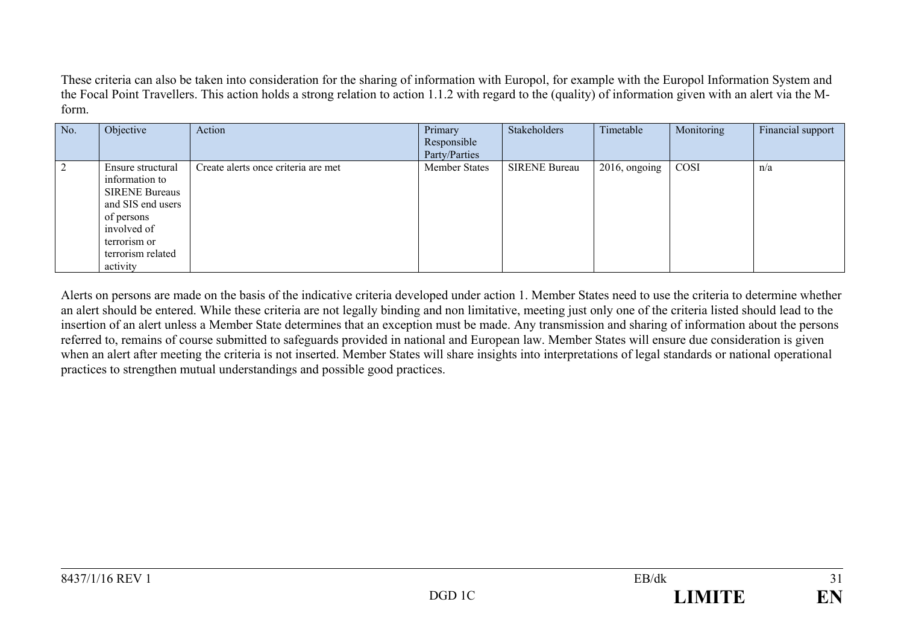These criteria can also be taken into consideration for the sharing of information with Europol, for example with the Europol Information System and the Focal Point Travellers. This action holds a strong relation to action 1.1.2 with regard to the (quality) of information given with an alert via the Mform.

| No. | Objective                                                                                                                                                       | Action                              | Primary<br>Responsible<br>Party/Parties | Stakeholders         | Timetable        | Monitoring | Financial support |
|-----|-----------------------------------------------------------------------------------------------------------------------------------------------------------------|-------------------------------------|-----------------------------------------|----------------------|------------------|------------|-------------------|
|     | Ensure structural<br>information to<br><b>SIRENE Bureaus</b><br>and SIS end users<br>of persons<br>involved of<br>terrorism or<br>terrorism related<br>activity | Create alerts once criteria are met | <b>Member States</b>                    | <b>SIRENE Bureau</b> | $2016$ , ongoing | COSI       | n/a               |

Alerts on persons are made on the basis of the indicative criteria developed under action 1. Member States need to use the criteria to determine whether an alert should be entered. While these criteria are not legally binding and non limitative, meeting just only one of the criteria listed should lead to the insertion of an alert unless a Member State determines that an exception must be made. Any transmission and sharing of information about the persons referred to, remains of course submitted to safeguards provided in national and European law. Member States will ensure due consideration is given when an alert after meeting the criteria is not inserted. Member States will share insights into interpretations of legal standards or national operational practices to strengthen mutual understandings and possible good practices.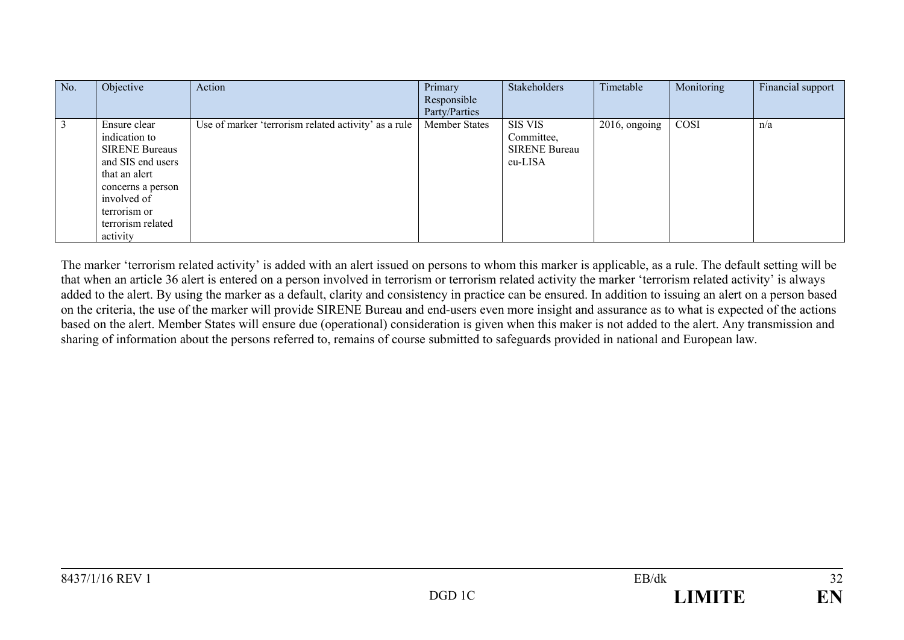| No. | Objective                                                                                                                                                                         | Action                                               | Primary<br>Responsible<br>Party/Parties | Stakeholders                                                    | Timetable        | Monitoring | Financial support |
|-----|-----------------------------------------------------------------------------------------------------------------------------------------------------------------------------------|------------------------------------------------------|-----------------------------------------|-----------------------------------------------------------------|------------------|------------|-------------------|
|     | Ensure clear<br>indication to<br><b>SIRENE Bureaus</b><br>and SIS end users<br>that an alert<br>concerns a person<br>involved of<br>terrorism or<br>terrorism related<br>activity | Use of marker 'terrorism related activity' as a rule | <b>Member States</b>                    | <b>SIS VIS</b><br>Committee,<br><b>SIRENE Bureau</b><br>eu-LISA | $2016$ , ongoing | COSI       | n/a               |

The marker 'terrorism related activity' is added with an alert issued on persons to whom this marker is applicable, as a rule. The default setting will be that when an article 36 alert is entered on a person involved in terrorism or terrorism related activity the marker 'terrorism related activity' is always added to the alert. By using the marker as a default, clarity and consistency in practice can be ensured. In addition to issuing an alert on a person based on the criteria, the use of the marker will provide SIRENE Bureau and end-users even more insight and assurance as to what is expected of the actions based on the alert. Member States will ensure due (operational) consideration is given when this maker is not added to the alert. Any transmission and sharing of information about the persons referred to, remains of course submitted to safeguards provided in national and European law.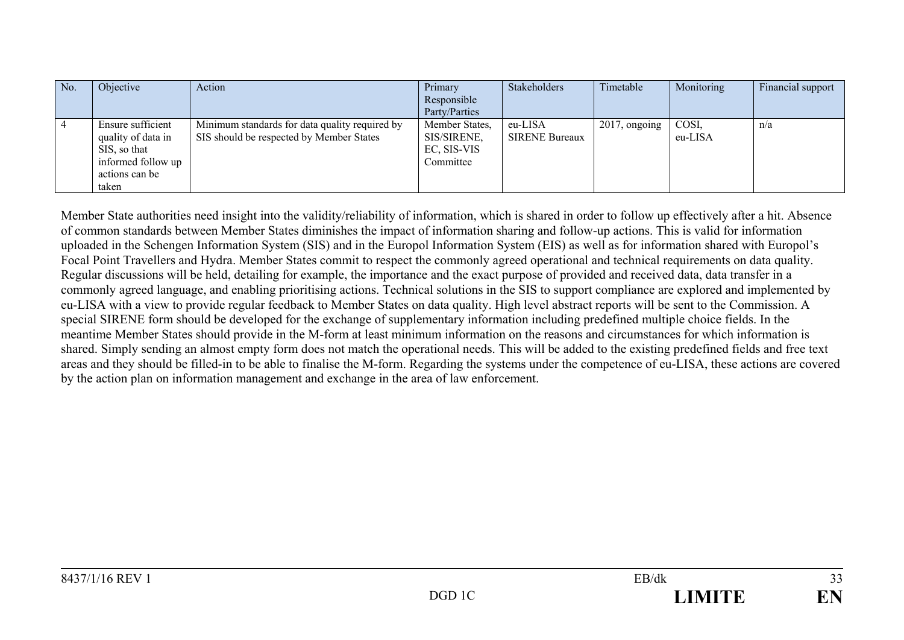| No. | Objective          | Action                                         | Primary        | Stakeholders          | Timetable        | Monitoring | Financial support |
|-----|--------------------|------------------------------------------------|----------------|-----------------------|------------------|------------|-------------------|
|     |                    |                                                | Responsible    |                       |                  |            |                   |
|     |                    |                                                | Party/Parties  |                       |                  |            |                   |
|     | Ensure sufficient  | Minimum standards for data quality required by | Member States, | eu-LISA               | $2017$ , ongoing | COSI.      | n/a               |
|     | quality of data in | SIS should be respected by Member States       | SIS/SIRENE,    | <b>SIRENE Bureaux</b> |                  | eu-LISA    |                   |
|     | SIS, so that       |                                                | EC, SIS-VIS    |                       |                  |            |                   |
|     | informed follow up |                                                | Committee      |                       |                  |            |                   |
|     | actions can be     |                                                |                |                       |                  |            |                   |
|     | taken              |                                                |                |                       |                  |            |                   |

Member State authorities need insight into the validity/reliability of information, which is shared in order to follow up effectively after a hit. Absence of common standards between Member States diminishes the impact of information sharing and follow-up actions. This is valid for information uploaded in the Schengen Information System (SIS) and in the Europol Information System (EIS) as well as for information shared with Europol's Focal Point Travellers and Hydra. Member States commit to respect the commonly agreed operational and technical requirements on data quality. Regular discussions will be held, detailing for example, the importance and the exact purpose of provided and received data, data transfer in a commonly agreed language, and enabling prioritising actions. Technical solutions in the SIS to support compliance are explored and implemented by eu-LISA with a view to provide regular feedback to Member States on data quality. High level abstract reports will be sent to the Commission. A special SIRENE form should be developed for the exchange of supplementary information including predefined multiple choice fields. In the meantime Member States should provide in the M-form at least minimum information on the reasons and circumstances for which information is shared. Simply sending an almost empty form does not match the operational needs. This will be added to the existing predefined fields and free text areas and they should be filled-in to be able to finalise the M-form. Regarding the systems under the competence of eu-LISA, these actions are covered by the action plan on information management and exchange in the area of law enforcement.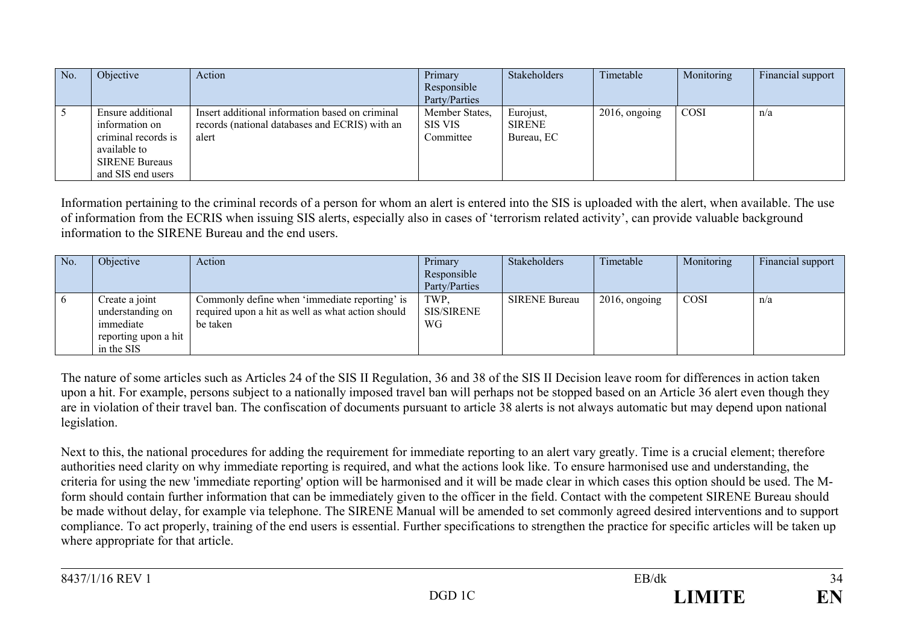| No. | Objective                                                                                                                | Action                                                                                                     | Primary<br>Responsible<br>Party/Parties | Stakeholders                      | Timetable        | Monitoring | Financial support |
|-----|--------------------------------------------------------------------------------------------------------------------------|------------------------------------------------------------------------------------------------------------|-----------------------------------------|-----------------------------------|------------------|------------|-------------------|
|     | Ensure additional<br>information on<br>criminal records is<br>available to<br><b>SIRENE Bureaus</b><br>and SIS end users | Insert additional information based on criminal<br>records (national databases and ECRIS) with an<br>alert | Member States,<br>SIS VIS<br>Committee  | Eurojust,<br>SIRENE<br>Bureau, EC | $2016$ , ongoing | COSI       | n/a               |

Information pertaining to the criminal records of a person for whom an alert is entered into the SIS is uploaded with the alert, when available. The use of information from the ECRIS when issuing SIS alerts, especially also in cases of 'terrorism related activity', can provide valuable background information to the SIRENE Bureau and the end users.

| No. | Objective            | Action                                            | Primary       | <b>Stakeholders</b>  | Timetable        | Monitoring  | Financial support |
|-----|----------------------|---------------------------------------------------|---------------|----------------------|------------------|-------------|-------------------|
|     |                      |                                                   | Responsible   |                      |                  |             |                   |
|     |                      |                                                   | Party/Parties |                      |                  |             |                   |
| - 0 | Create a joint       | Commonly define when 'immediate reporting' is     | TWP.          | <b>SIRENE Bureau</b> | $2016$ , ongoing | <b>COSI</b> | n/a               |
|     | understanding on     | required upon a hit as well as what action should | SIS/SIRENE    |                      |                  |             |                   |
|     | immediate            | be taken                                          | WG            |                      |                  |             |                   |
|     | reporting upon a hit |                                                   |               |                      |                  |             |                   |
|     | in the SIS           |                                                   |               |                      |                  |             |                   |

The nature of some articles such as Articles 24 of the SIS II Regulation, 36 and 38 of the SIS II Decision leave room for differences in action taken upon a hit. For example, persons subject to a nationally imposed travel ban will perhaps not be stopped based on an Article 36 alert even though they are in violation of their travel ban. The confiscation of documents pursuant to article 38 alerts is not always automatic but may depend upon national legislation.

Next to this, the national procedures for adding the requirement for immediate reporting to an alert vary greatly. Time is a crucial element; therefore authorities need clarity on why immediate reporting is required, and what the actions look like. To ensure harmonised use and understanding, the criteria for using the new 'immediate reporting' option will be harmonised and it will be made clear in which cases this option should be used. The Mform should contain further information that can be immediately given to the officer in the field. Contact with the competent SIRENE Bureau should be made without delay, for example via telephone. The SIRENE Manual will be amended to set commonly agreed desired interventions and to support compliance. To act properly, training of the end users is essential. Further specifications to strengthen the practice for specific articles will be taken up where appropriate for that article.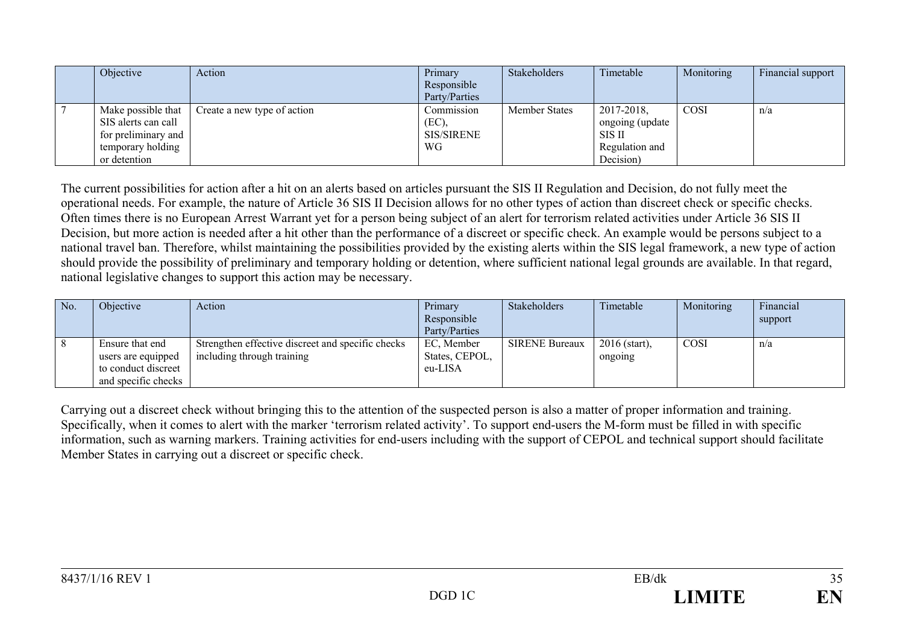| Objective                                                                                             | Action                      | Primary<br>Responsible<br>Party/Parties | Stakeholders         | Timetable                                                                     | Monitoring  | Financial support |
|-------------------------------------------------------------------------------------------------------|-----------------------------|-----------------------------------------|----------------------|-------------------------------------------------------------------------------|-------------|-------------------|
| Make possible that<br>SIS alerts can call<br>for preliminary and<br>temporary holding<br>or detention | Create a new type of action | Commission<br>(EC),<br>SIS/SIRENE<br>WG | <b>Member States</b> | 2017-2018,<br>ongoing (update<br><b>SIS II</b><br>Regulation and<br>Decision) | <b>COSI</b> | n/a               |

The current possibilities for action after a hit on an alerts based on articles pursuant the SIS II Regulation and Decision, do not fully meet the operational needs. For example, the nature of Article 36 SIS II Decision allows for no other types of action than discreet check or specific checks. Often times there is no European Arrest Warrant yet for a person being subject of an alert for terrorism related activities under Article 36 SIS II Decision, but more action is needed after a hit other than the performance of a discreet or specific check. An example would be persons subject to a national travel ban. Therefore, whilst maintaining the possibilities provided by the existing alerts within the SIS legal framework, a new type of action should provide the possibility of preliminary and temporary holding or detention, where sufficient national legal grounds are available. In that regard, national legislative changes to support this action may be necessary.

| No. | Objective           | Action                                            | Primary        | Stakeholders          | Timetable       | Monitoring  | Financial |
|-----|---------------------|---------------------------------------------------|----------------|-----------------------|-----------------|-------------|-----------|
|     |                     |                                                   | Responsible    |                       |                 |             | support   |
|     |                     |                                                   | Party/Parties  |                       |                 |             |           |
|     | Ensure that end     | Strengthen effective discreet and specific checks | EC, Member     | <b>SIRENE Bureaux</b> | $2016$ (start), | <b>COSI</b> | n/a       |
|     | users are equipped  | including through training                        | States, CEPOL, |                       | ongoing         |             |           |
|     | to conduct discreet |                                                   | eu-LISA        |                       |                 |             |           |
|     | and specific checks |                                                   |                |                       |                 |             |           |

Carrying out a discreet check without bringing this to the attention of the suspected person is also a matter of proper information and training. Specifically, when it comes to alert with the marker 'terrorism related activity'. To support end-users the M-form must be filled in with specific information, such as warning markers. Training activities for end-users including with the support of CEPOL and technical support should facilitate Member States in carrying out a discreet or specific check.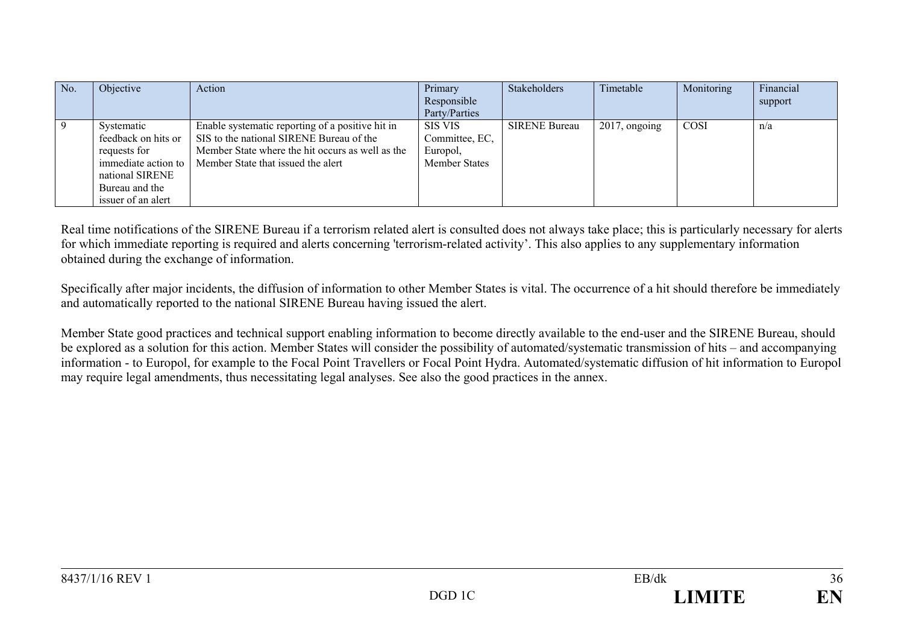| No. | Objective                                                                                                                           | Action                                                                                                                                                                                 | Primary<br>Responsible<br>Party/Parties                              | Stakeholders         | Timetable        | Monitoring | Financial<br>support |
|-----|-------------------------------------------------------------------------------------------------------------------------------------|----------------------------------------------------------------------------------------------------------------------------------------------------------------------------------------|----------------------------------------------------------------------|----------------------|------------------|------------|----------------------|
|     | Systematic<br>feedback on hits or<br>requests for<br>immediate action to<br>national SIRENE<br>Bureau and the<br>issuer of an alert | Enable systematic reporting of a positive hit in<br>SIS to the national SIRENE Bureau of the<br>Member State where the hit occurs as well as the<br>Member State that issued the alert | <b>SIS VIS</b><br>Committee, EC,<br>Europol,<br><b>Member States</b> | <b>SIRENE Bureau</b> | $2017$ , ongoing | COSI       | n/a                  |

Real time notifications of the SIRENE Bureau if a terrorism related alert is consulted does not always take place; this is particularly necessary for alerts for which immediate reporting is required and alerts concerning 'terrorism-related activity'. This also applies to any supplementary information obtained during the exchange of information.

Specifically after major incidents, the diffusion of information to other Member States is vital. The occurrence of a hit should therefore be immediately and automatically reported to the national SIRENE Bureau having issued the alert.

Member State good practices and technical support enabling information to become directly available to the end-user and the SIRENE Bureau, should be explored as a solution for this action. Member States will consider the possibility of automated/systematic transmission of hits – and accompanying information - to Europol, for example to the Focal Point Travellers or Focal Point Hydra. Automated/systematic diffusion of hit information to Europol may require legal amendments, thus necessitating legal analyses. See also the good practices in the annex.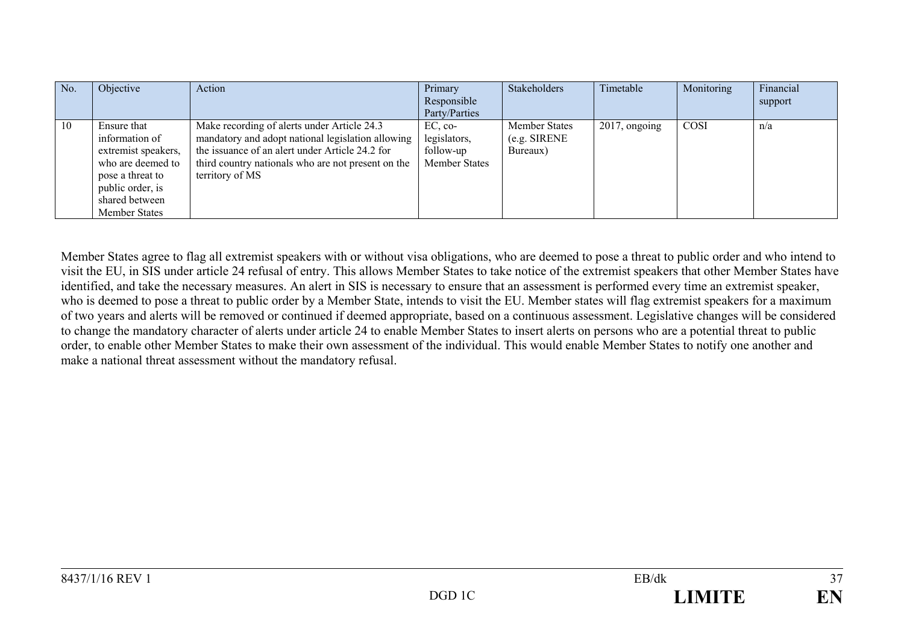| No. | Objective                                                                                                                                                   | Action                                                                                                                                                                                                                       | Primary<br>Responsible<br>Party/Parties                        | Stakeholders                                     | Timetable        | Monitoring  | Financial<br>support |
|-----|-------------------------------------------------------------------------------------------------------------------------------------------------------------|------------------------------------------------------------------------------------------------------------------------------------------------------------------------------------------------------------------------------|----------------------------------------------------------------|--------------------------------------------------|------------------|-------------|----------------------|
| 10  | Ensure that<br>information of<br>extremist speakers,<br>who are deemed to<br>pose a threat to<br>public order, is<br>shared between<br><b>Member States</b> | Make recording of alerts under Article 24.3<br>mandatory and adopt national legislation allowing<br>the issuance of an alert under Article 24.2 for<br>third country nationals who are not present on the<br>territory of MS | $EC, co-$<br>legislators,<br>follow-up<br><b>Member States</b> | <b>Member States</b><br>(e.g. SIRENE<br>Bureaux) | $2017$ , ongoing | <b>COSI</b> | n/a                  |

Member States agree to flag all extremist speakers with or without visa obligations, who are deemed to pose a threat to public order and who intend to visit the EU, in SIS under article 24 refusal of entry. This allows Member States to take notice of the extremist speakers that other Member States have identified, and take the necessary measures. An alert in SIS is necessary to ensure that an assessment is performed every time an extremist speaker, who is deemed to pose a threat to public order by a Member State, intends to visit the EU. Member states will flag extremist speakers for a maximum of two years and alerts will be removed or continued if deemed appropriate, based on a continuous assessment. Legislative changes will be considered to change the mandatory character of alerts under article 24 to enable Member States to insert alerts on persons who are a potential threat to public order, to enable other Member States to make their own assessment of the individual. This would enable Member States to notify one another and make a national threat assessment without the mandatory refusal.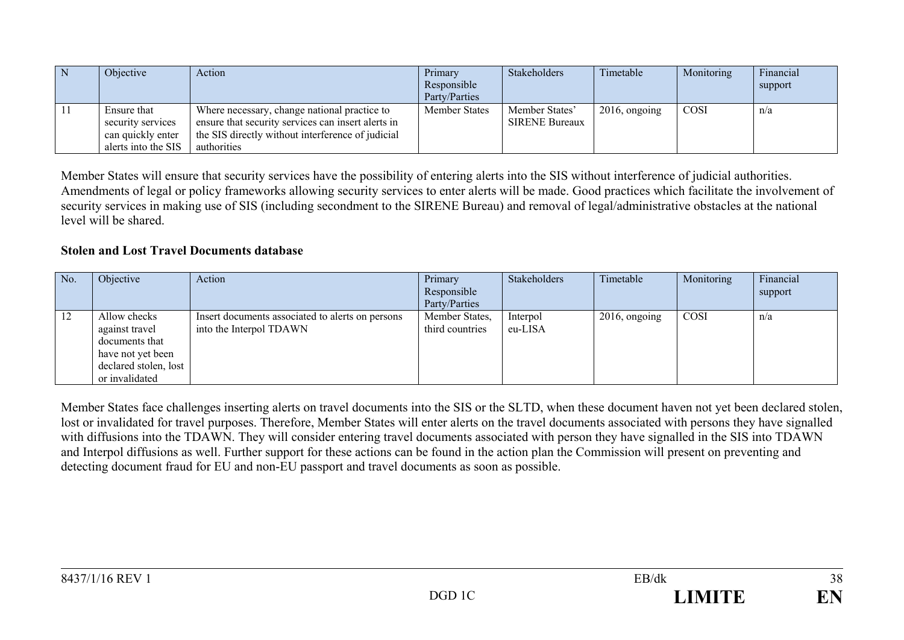| Objective                                                                    | Action                                                                                                                                                                 | Primary<br>Responsible<br>Party/Parties | Stakeholders                            | Timetable        | Monitoring  | Financial<br>support |
|------------------------------------------------------------------------------|------------------------------------------------------------------------------------------------------------------------------------------------------------------------|-----------------------------------------|-----------------------------------------|------------------|-------------|----------------------|
| Ensure that<br>security services<br>can quickly enter<br>alerts into the SIS | Where necessary, change national practice to<br>ensure that security services can insert alerts in<br>the SIS directly without interference of judicial<br>authorities | <b>Member States</b>                    | Member States'<br><b>SIRENE Bureaux</b> | $2016$ , ongoing | <b>COSI</b> | n/a                  |

Member States will ensure that security services have the possibility of entering alerts into the SIS without interference of judicial authorities. Amendments of legal or policy frameworks allowing security services to enter alerts will be made. Good practices which facilitate the involvement of security services in making use of SIS (including secondment to the SIRENE Bureau) and removal of legal/administrative obstacles at the national level will be shared.

#### **Stolen and Lost Travel Documents database**

| No. | Objective                                                                                                        | Action                                                                      | Primary<br>Responsible<br>Party/Parties | Stakeholders        | Timetable        | Monitoring | Financial<br>support |
|-----|------------------------------------------------------------------------------------------------------------------|-----------------------------------------------------------------------------|-----------------------------------------|---------------------|------------------|------------|----------------------|
| 12  | Allow checks<br>against travel<br>documents that<br>have not yet been<br>declared stolen, lost<br>or invalidated | Insert documents associated to alerts on persons<br>into the Interpol TDAWN | Member States,<br>third countries       | Interpol<br>eu-LISA | $2016$ , ongoing | COSI       | n/a                  |

Member States face challenges inserting alerts on travel documents into the SIS or the SLTD, when these document haven not yet been declared stolen, lost or invalidated for travel purposes. Therefore, Member States will enter alerts on the travel documents associated with persons they have signalled with diffusions into the TDAWN. They will consider entering travel documents associated with person they have signalled in the SIS into TDAWN and Interpol diffusions as well. Further support for these actions can be found in the action plan the Commission will present on preventing and detecting document fraud for EU and non-EU passport and travel documents as soon as possible.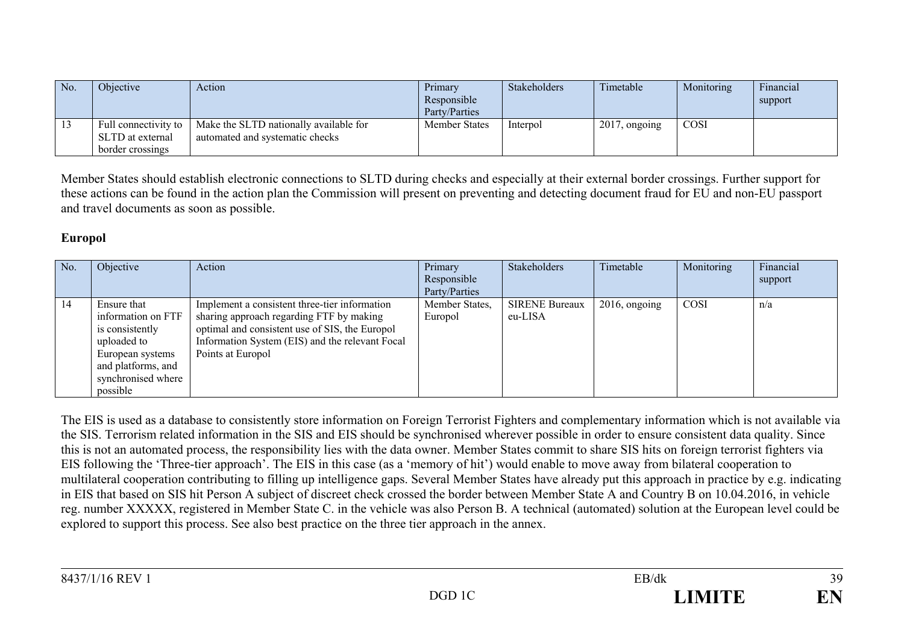| No. | <i><b>Objective</b></i>                                      | Action                                                                    | Primary<br>Responsible<br>Party/Parties | <b>Stakeholders</b> | Timetable     | Monitoring | Financial<br>support |
|-----|--------------------------------------------------------------|---------------------------------------------------------------------------|-----------------------------------------|---------------------|---------------|------------|----------------------|
|     | Full connectivity to<br>SLTD at external<br>border crossings | Make the SLTD nationally available for<br>automated and systematic checks | <b>Member States</b>                    | Interpol            | 2017, ongoing | COSI       |                      |

Member States should establish electronic connections to SLTD during checks and especially at their external border crossings. Further support for these actions can be found in the action plan the Commission will present on preventing and detecting document fraud for EU and non-EU passport and travel documents as soon as possible.

# **Europol**

| No. | Objective                                                                                                                                       | Action                                                                                                                                                                                                              | Primary<br>Responsible<br>Party/Parties | Stakeholders                     | Timetable        | Monitoring | Financial<br>support |
|-----|-------------------------------------------------------------------------------------------------------------------------------------------------|---------------------------------------------------------------------------------------------------------------------------------------------------------------------------------------------------------------------|-----------------------------------------|----------------------------------|------------------|------------|----------------------|
| 14  | Ensure that<br>information on FTF<br>is consistently<br>uploaded to<br>European systems<br>and platforms, and<br>synchronised where<br>possible | Implement a consistent three-tier information<br>sharing approach regarding FTF by making<br>optimal and consistent use of SIS, the Europol<br>Information System (EIS) and the relevant Focal<br>Points at Europol | Member States,<br>Europol               | <b>SIRENE Bureaux</b><br>eu-LISA | $2016$ , ongoing | COSI       | n/a                  |

The EIS is used as a database to consistently store information on Foreign Terrorist Fighters and complementary information which is not available via the SIS. Terrorism related information in the SIS and EIS should be synchronised wherever possible in order to ensure consistent data quality. Since this is not an automated process, the responsibility lies with the data owner. Member States commit to share SIS hits on foreign terrorist fighters via EIS following the 'Three-tier approach'. The EIS in this case (as a 'memory of hit') would enable to move away from bilateral cooperation to multilateral cooperation contributing to filling up intelligence gaps. Several Member States have already put this approach in practice by e.g. indicating in EIS that based on SIS hit Person A subject of discreet check crossed the border between Member State A and Country B on 10.04.2016, in vehicle reg. number XXXXX, registered in Member State C. in the vehicle was also Person B. A technical (automated) solution at the European level could be explored to support this process. See also best practice on the three tier approach in the annex.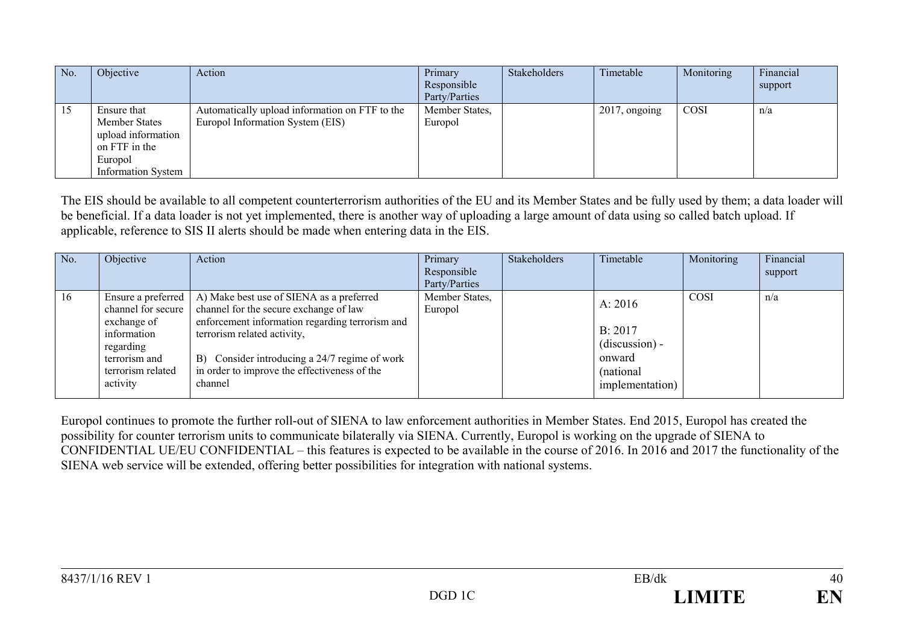| No. | Objective                                                                                                          | Action                                                                             | Primary<br>Responsible<br>Party/Parties | <b>Stakeholders</b> | Timetable        | Monitoring | Financial<br>support |
|-----|--------------------------------------------------------------------------------------------------------------------|------------------------------------------------------------------------------------|-----------------------------------------|---------------------|------------------|------------|----------------------|
| 15  | Ensure that<br><b>Member States</b><br>upload information<br>on FTF in the<br>Europol<br><b>Information System</b> | Automatically upload information on FTF to the<br>Europol Information System (EIS) | Member States,<br>Europol               |                     | $2017$ , ongoing | COSI       | n/a                  |

The EIS should be available to all competent counterterrorism authorities of the EU and its Member States and be fully used by them; a data loader will be beneficial. If a data loader is not yet implemented, there is another way of uploading a large amount of data using so called batch upload. If applicable, reference to SIS II alerts should be made when entering data in the EIS.

| No. | Objective                                                                                                       | Action                                                                                                                                                                                                                                                                                                | Primary<br>Responsible<br>Party/Parties | Stakeholders | Timetable                                                                         | Monitoring | Financial<br>support |
|-----|-----------------------------------------------------------------------------------------------------------------|-------------------------------------------------------------------------------------------------------------------------------------------------------------------------------------------------------------------------------------------------------------------------------------------------------|-----------------------------------------|--------------|-----------------------------------------------------------------------------------|------------|----------------------|
| 16  | Ensure a preferred<br>exchange of<br>information<br>regarding<br>terrorism and<br>terrorism related<br>activity | A) Make best use of SIENA as a preferred<br>channel for secure   channel for the secure exchange of law<br>enforcement information regarding terrorism and<br>terrorism related activity,<br>B) Consider introducing a 24/7 regime of work<br>in order to improve the effectiveness of the<br>channel | Member States,<br>Europol               |              | A: 2016<br>B: 2017<br>$(discussion) -$<br>onward<br>(national)<br>implementation) | COSI       | n/a                  |

Europol continues to promote the further roll-out of SIENA to law enforcement authorities in Member States. End 2015, Europol has created the possibility for counter terrorism units to communicate bilaterally via SIENA. Currently, Europol is working on the upgrade of SIENA to CONFIDENTIAL UE/EU CONFIDENTIAL – this features is expected to be available in the course of 2016. In 2016 and 2017 the functionality of the SIENA web service will be extended, offering better possibilities for integration with national systems.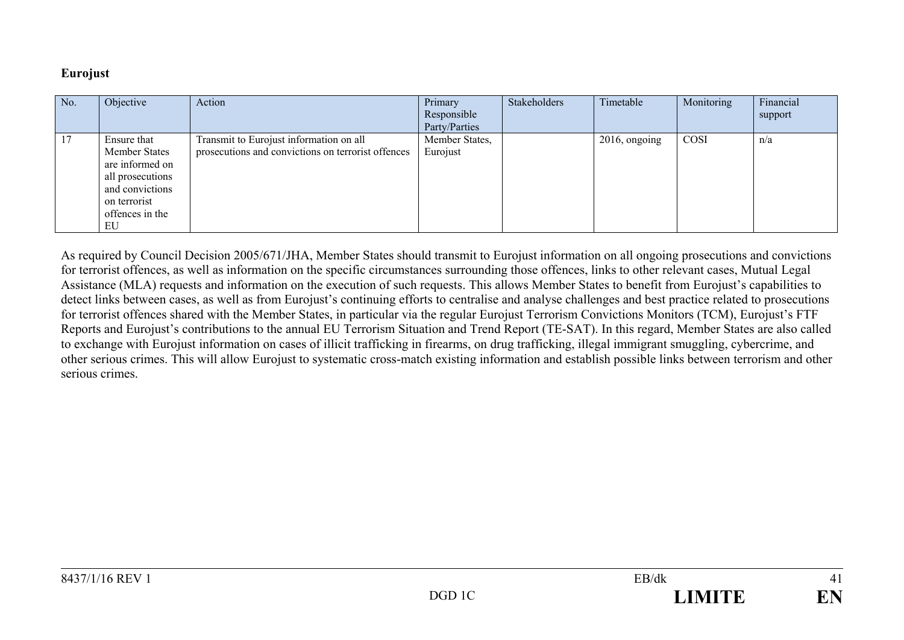#### **Eurojust**

| No. | Objective        | Action                                             | Primary        | Stakeholders | Timetable     | Monitoring | Financial |
|-----|------------------|----------------------------------------------------|----------------|--------------|---------------|------------|-----------|
|     |                  |                                                    | Responsible    |              |               |            | support   |
|     |                  |                                                    | Party/Parties  |              |               |            |           |
| 17  | Ensure that      | Transmit to Eurojust information on all            | Member States, |              | 2016, ongoing | COSI       | n/a       |
|     | Member States    | prosecutions and convictions on terrorist offences | Eurojust       |              |               |            |           |
|     | are informed on  |                                                    |                |              |               |            |           |
|     | all prosecutions |                                                    |                |              |               |            |           |
|     | and convictions  |                                                    |                |              |               |            |           |
|     | on terrorist     |                                                    |                |              |               |            |           |
|     | offences in the  |                                                    |                |              |               |            |           |
|     | EU               |                                                    |                |              |               |            |           |

As required by Council Decision 2005/671/JHA, Member States should transmit to Eurojust information on all ongoing prosecutions and convictions for terrorist offences, as well as information on the specific circumstances surrounding those offences, links to other relevant cases, Mutual Legal Assistance (MLA) requests and information on the execution of such requests. This allows Member States to benefit from Eurojust's capabilities to detect links between cases, as well as from Eurojust's continuing efforts to centralise and analyse challenges and best practice related to prosecutions for terrorist offences shared with the Member States, in particular via the regular Eurojust Terrorism Convictions Monitors (TCM), Eurojust's FTF Reports and Eurojust's contributions to the annual EU Terrorism Situation and Trend Report (TE-SAT). In this regard, Member States are also called to exchange with Eurojust information on cases of illicit trafficking in firearms, on drug trafficking, illegal immigrant smuggling, cybercrime, and other serious crimes. This will allow Eurojust to systematic cross-match existing information and establish possible links between terrorism and other serious crimes.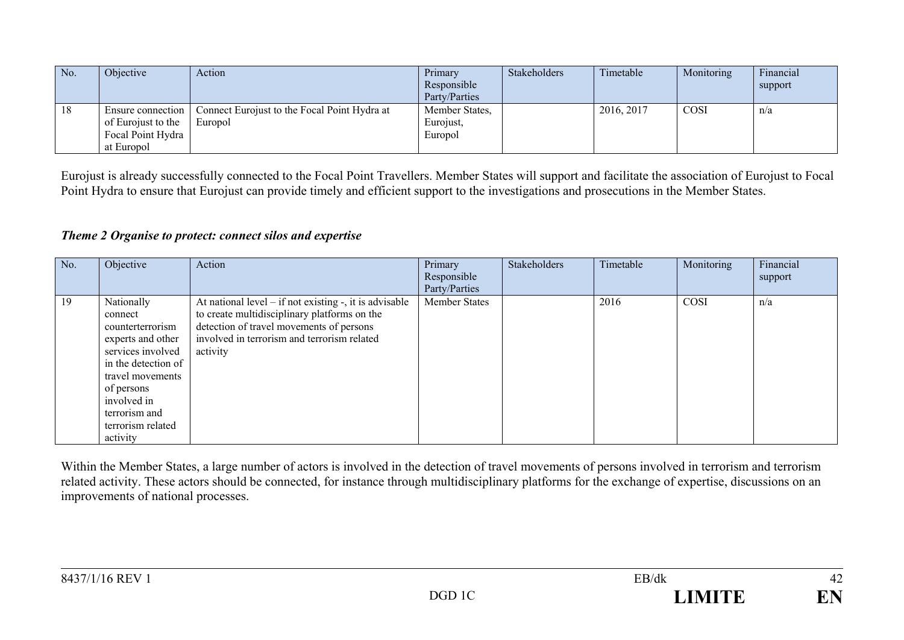| No. | Objective                                                                  | Action                                                  | Primary<br>Responsible<br>Party/Parties | Stakeholders | Timetable  | Monitoring  | Financial<br>support |
|-----|----------------------------------------------------------------------------|---------------------------------------------------------|-----------------------------------------|--------------|------------|-------------|----------------------|
| 18  | Ensure connection<br>of Eurojust to the<br>Focal Point Hydra<br>at Europol | Connect Eurojust to the Focal Point Hydra at<br>Europol | Member States,<br>Eurojust,<br>Europol  |              | 2016, 2017 | <b>COSI</b> | n/a                  |

Eurojust is already successfully connected to the Focal Point Travellers. Member States will support and facilitate the association of Eurojust to Focal Point Hydra to ensure that Eurojust can provide timely and efficient support to the investigations and prosecutions in the Member States.

#### *Theme 2 Organise to protect: connect silos and expertise*

| No. | Objective                                                                                                                                                                                                     | Action                                                                                                                                                                                                             | Primary<br>Responsible                | Stakeholders | Timetable | Monitoring | Financial<br>support |
|-----|---------------------------------------------------------------------------------------------------------------------------------------------------------------------------------------------------------------|--------------------------------------------------------------------------------------------------------------------------------------------------------------------------------------------------------------------|---------------------------------------|--------------|-----------|------------|----------------------|
| 19  | Nationally<br>connect<br>counterterrorism<br>experts and other<br>services involved<br>in the detection of<br>travel movements<br>of persons<br>involved in<br>terrorism and<br>terrorism related<br>activity | At national level $-$ if not existing $-$ , it is advisable<br>to create multidisciplinary platforms on the<br>detection of travel movements of persons<br>involved in terrorism and terrorism related<br>activity | Party/Parties<br><b>Member States</b> |              | 2016      | COSI       | n/a                  |

Within the Member States, a large number of actors is involved in the detection of travel movements of persons involved in terrorism and terrorism related activity. These actors should be connected, for instance through multidisciplinary platforms for the exchange of expertise, discussions on an improvements of national processes.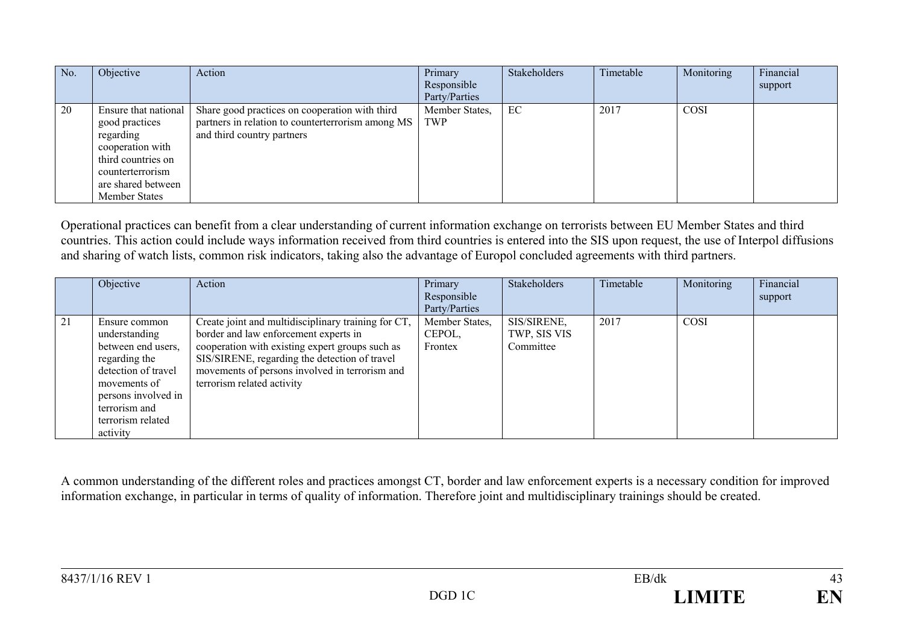| No. | Objective                                                                                                                                                | Action                                                                                                                            | Primary<br>Responsible<br>Party/Parties | Stakeholders | Timetable | Monitoring  | Financial<br>support |
|-----|----------------------------------------------------------------------------------------------------------------------------------------------------------|-----------------------------------------------------------------------------------------------------------------------------------|-----------------------------------------|--------------|-----------|-------------|----------------------|
| 20  | Ensure that national<br>good practices<br>regarding<br>cooperation with<br>third countries on<br>counterterrorism<br>are shared between<br>Member States | Share good practices on cooperation with third<br>partners in relation to counterterrorism among MS<br>and third country partners | Member States,<br>TWP                   | EC           | 2017      | <b>COSI</b> |                      |

Operational practices can benefit from a clear understanding of current information exchange on terrorists between EU Member States and third countries. This action could include ways information received from third countries is entered into the SIS upon request, the use of Interpol diffusions and sharing of watch lists, common risk indicators, taking also the advantage of Europol concluded agreements with third partners.

|    | Objective                                                                                                                                                                             | Action                                                                                                                                                                                                                                                                           | Primary<br>Responsible<br>Party/Parties | <b>Stakeholders</b>                      | Timetable | Monitoring | Financial<br>support |
|----|---------------------------------------------------------------------------------------------------------------------------------------------------------------------------------------|----------------------------------------------------------------------------------------------------------------------------------------------------------------------------------------------------------------------------------------------------------------------------------|-----------------------------------------|------------------------------------------|-----------|------------|----------------------|
| 21 | Ensure common<br>understanding<br>between end users,<br>regarding the<br>detection of travel<br>movements of<br>persons involved in<br>terrorism and<br>terrorism related<br>activity | Create joint and multidisciplinary training for CT,<br>border and law enforcement experts in<br>cooperation with existing expert groups such as<br>SIS/SIRENE, regarding the detection of travel<br>movements of persons involved in terrorism and<br>terrorism related activity | Member States,<br>CEPOL,<br>Frontex     | SIS/SIRENE,<br>TWP, SIS VIS<br>Committee | 2017      | COSI       |                      |

A common understanding of the different roles and practices amongst CT, border and law enforcement experts is a necessary condition for improved information exchange, in particular in terms of quality of information. Therefore joint and multidisciplinary trainings should be created.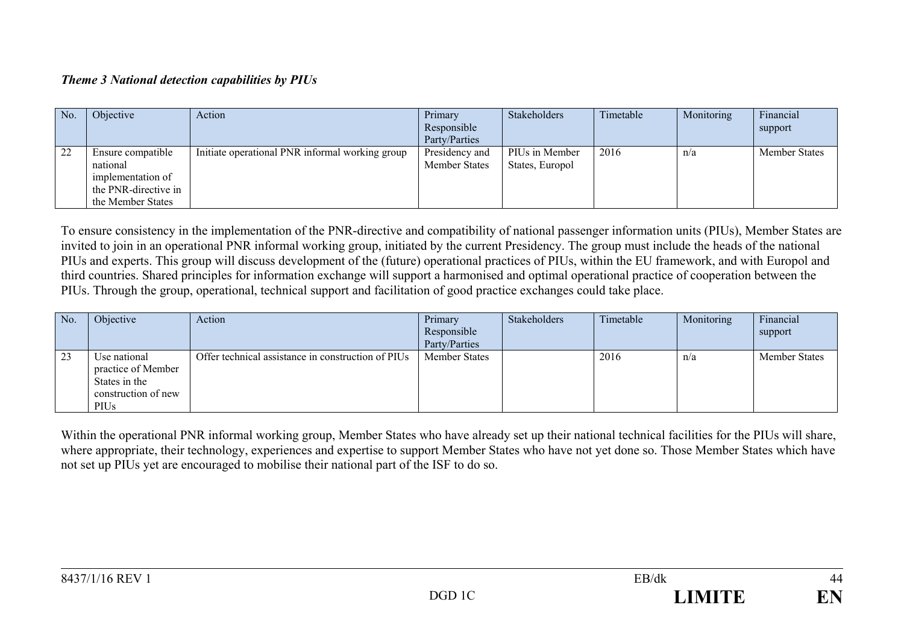## *Theme 3 National detection capabilities by PIUs*

| No. | Objective            | Action                                          | Primary              | Stakeholders    | Timetable | Monitoring | Financial            |
|-----|----------------------|-------------------------------------------------|----------------------|-----------------|-----------|------------|----------------------|
|     |                      |                                                 | Responsible          |                 |           |            | support              |
|     |                      |                                                 | Party/Parties        |                 |           |            |                      |
| 22  | Ensure compatible    | Initiate operational PNR informal working group | Presidency and       | PIUs in Member  | 2016      | n/a        | <b>Member States</b> |
|     | national             |                                                 | <b>Member States</b> | States, Europol |           |            |                      |
|     | implementation of    |                                                 |                      |                 |           |            |                      |
|     | the PNR-directive in |                                                 |                      |                 |           |            |                      |
|     | the Member States    |                                                 |                      |                 |           |            |                      |

To ensure consistency in the implementation of the PNR-directive and compatibility of national passenger information units (PIUs), Member States are invited to join in an operational PNR informal working group, initiated by the current Presidency. The group must include the heads of the national PIUs and experts. This group will discuss development of the (future) operational practices of PIUs, within the EU framework, and with Europol and third countries. Shared principles for information exchange will support a harmonised and optimal operational practice of cooperation between the PIUs. Through the group, operational, technical support and facilitation of good practice exchanges could take place.

| No. | Objective                                                                          | Action                                             | Primary<br>Responsible<br>Party/Parties | Stakeholders | Timetable | Monitoring | Financial<br>support |
|-----|------------------------------------------------------------------------------------|----------------------------------------------------|-----------------------------------------|--------------|-----------|------------|----------------------|
| 23  | Use national<br>practice of Member<br>States in the<br>construction of new<br>PIUs | Offer technical assistance in construction of PIUs | <b>Member States</b>                    |              | 2016      | n/a        | <b>Member States</b> |

Within the operational PNR informal working group, Member States who have already set up their national technical facilities for the PIUs will share, where appropriate, their technology, experiences and expertise to support Member States who have not yet done so. Those Member States which have not set up PIUs yet are encouraged to mobilise their national part of the ISF to do so.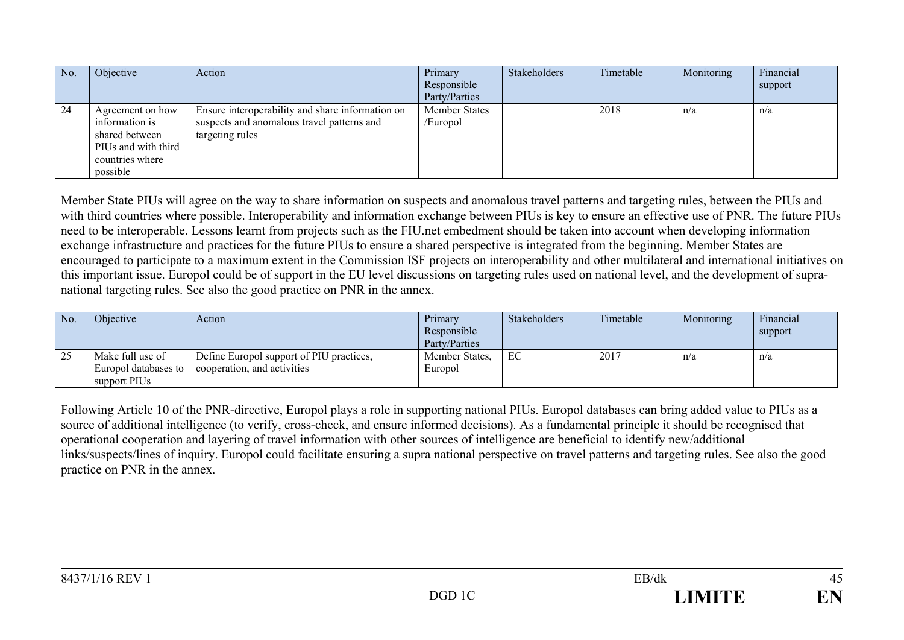| No. | Objective                                                                                                  | Action                                                                                                            | Primary<br>Responsible<br>Party/Parties | Stakeholders | Timetable | Monitoring | Financial<br>support |
|-----|------------------------------------------------------------------------------------------------------------|-------------------------------------------------------------------------------------------------------------------|-----------------------------------------|--------------|-----------|------------|----------------------|
| 24  | Agreement on how<br>information is<br>shared between<br>PIUs and with third<br>countries where<br>possible | Ensure interoperability and share information on<br>suspects and anomalous travel patterns and<br>targeting rules | <b>Member States</b><br>/Europol        |              | 2018      | n/a        | n/a                  |

Member State PIUs will agree on the way to share information on suspects and anomalous travel patterns and targeting rules, between the PIUs and with third countries where possible. Interoperability and information exchange between PIUs is key to ensure an effective use of PNR. The future PIUs need to be interoperable. Lessons learnt from projects such as the FIU.net embedment should be taken into account when developing information exchange infrastructure and practices for the future PIUs to ensure a shared perspective is integrated from the beginning. Member States are encouraged to participate to a maximum extent in the Commission ISF projects on interoperability and other multilateral and international initiatives on this important issue. Europol could be of support in the EU level discussions on targeting rules used on national level, and the development of supranational targeting rules. See also the good practice on PNR in the annex.

| No. | Objective                                                | Action                                                                  | Primary<br>Responsible<br>Party/Parties | <b>Stakeholders</b> | Timetable | Monitoring | Financial<br>support |
|-----|----------------------------------------------------------|-------------------------------------------------------------------------|-----------------------------------------|---------------------|-----------|------------|----------------------|
| 25  | Make full use of<br>Europol databases to<br>support PIUs | Define Europol support of PIU practices,<br>cooperation, and activities | Member States,<br>Europol               | EC                  | 2017      | n/a        | n/a                  |

Following Article 10 of the PNR-directive, Europol plays a role in supporting national PIUs. Europol databases can bring added value to PIUs as a source of additional intelligence (to verify, cross-check, and ensure informed decisions). As a fundamental principle it should be recognised that operational cooperation and layering of travel information with other sources of intelligence are beneficial to identify new/additional links/suspects/lines of inquiry. Europol could facilitate ensuring a supra national perspective on travel patterns and targeting rules. See also the good practice on PNR in the annex.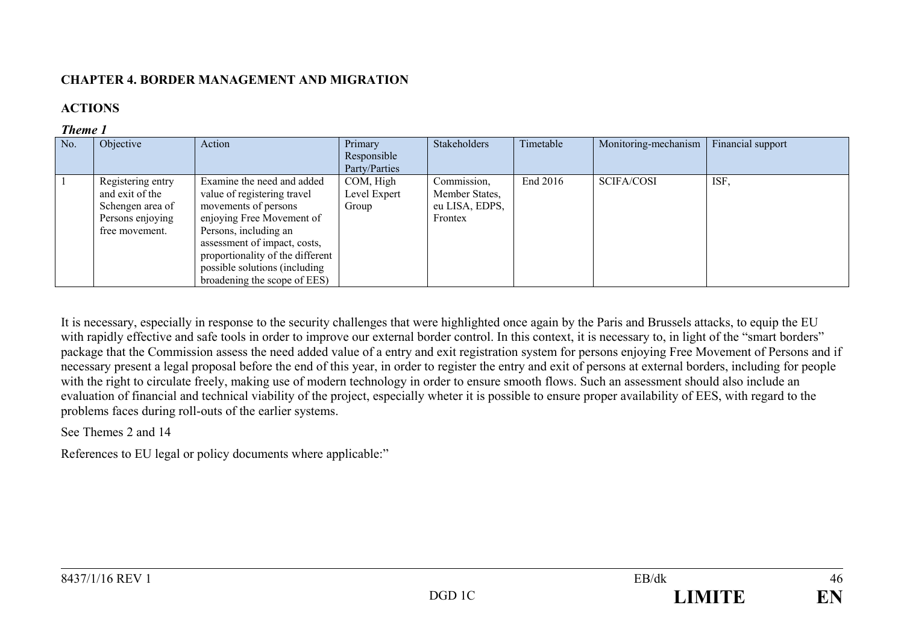# **CHAPTER 4. BORDER MANAGEMENT AND MIGRATION**

# **ACTIONS**

## *Theme 1*

| No. | Objective                                                                                      | Action                                                                                                                                                                                                                                                                       | Primary<br>Responsible<br>Party/Parties | Stakeholders                                               | Timetable | Monitoring-mechanism | Financial support |
|-----|------------------------------------------------------------------------------------------------|------------------------------------------------------------------------------------------------------------------------------------------------------------------------------------------------------------------------------------------------------------------------------|-----------------------------------------|------------------------------------------------------------|-----------|----------------------|-------------------|
|     | Registering entry<br>and exit of the<br>Schengen area of<br>Persons enjoying<br>free movement. | Examine the need and added<br>value of registering travel<br>movements of persons<br>enjoying Free Movement of<br>Persons, including an<br>assessment of impact, costs,<br>proportionality of the different<br>possible solutions (including<br>broadening the scope of EES) | COM, High<br>Level Expert<br>Group      | Commission.<br>Member States,<br>eu LISA, EDPS,<br>Frontex | End 2016  | <b>SCIFA/COSI</b>    | ISF.              |

It is necessary, especially in response to the security challenges that were highlighted once again by the Paris and Brussels attacks, to equip the EU with rapidly effective and safe tools in order to improve our external border control. In this context, it is necessary to, in light of the "smart borders" package that the Commission assess the need added value of a entry and exit registration system for persons enjoying Free Movement of Persons and if necessary present a legal proposal before the end of this year, in order to register the entry and exit of persons at external borders, including for people with the right to circulate freely, making use of modern technology in order to ensure smooth flows. Such an assessment should also include an evaluation of financial and technical viability of the project, especially wheter it is possible to ensure proper availability of EES, with regard to the problems faces during roll-outs of the earlier systems.

See Themes 2 and 14

References to EU legal or policy documents where applicable:"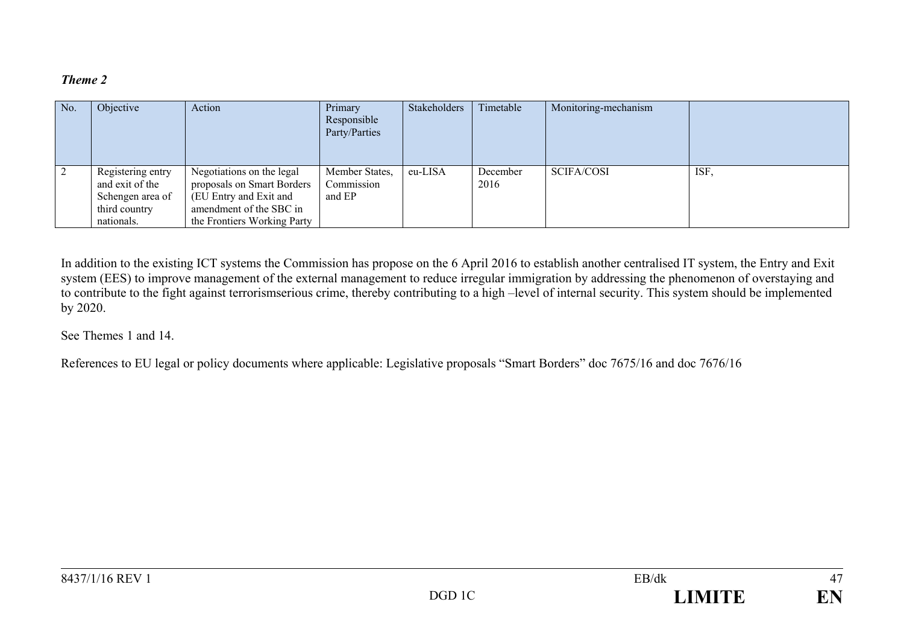| No. | Objective                                                                               | Action                                                                                                                                      | Primary<br>Responsible<br>Party/Parties | Stakeholders | Timetable        | Monitoring-mechanism |      |
|-----|-----------------------------------------------------------------------------------------|---------------------------------------------------------------------------------------------------------------------------------------------|-----------------------------------------|--------------|------------------|----------------------|------|
|     | Registering entry<br>and exit of the<br>Schengen area of<br>third country<br>nationals. | Negotiations on the legal<br>proposals on Smart Borders<br>(EU Entry and Exit and<br>amendment of the SBC in<br>the Frontiers Working Party | Member States,<br>Commission<br>and EP  | eu-LISA      | December<br>2016 | <b>SCIFA/COSI</b>    | ISF, |

In addition to the existing ICT systems the Commission has propose on the 6 April 2016 to establish another centralised IT system, the Entry and Exit system (EES) to improve management of the external management to reduce irregular immigration by addressing the phenomenon of overstaying and to contribute to the fight against terrorismserious crime, thereby contributing to a high –level of internal security. This system should be implemented by 2020.

See Themes 1 and 14.

References to EU legal or policy documents where applicable: Legislative proposals "Smart Borders" doc 7675/16 and doc 7676/16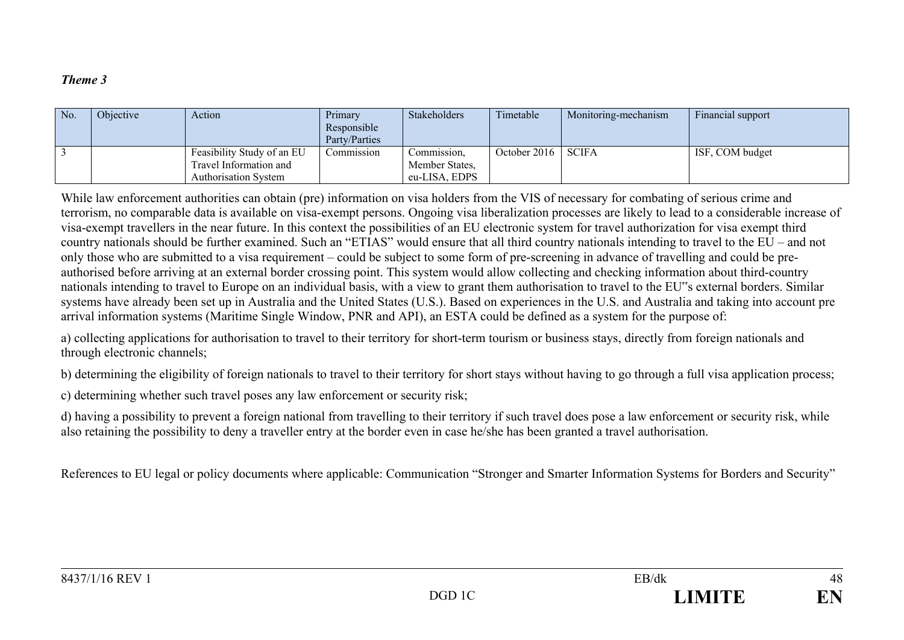| No. | Obiective | Action                      | Primary<br>Responsible<br>Party/Parties | Stakeholders   | Timetable            | Monitoring-mechanism | Financial support |
|-----|-----------|-----------------------------|-----------------------------------------|----------------|----------------------|----------------------|-------------------|
|     |           | Feasibility Study of an EU  | Commission                              | Commission,    | October 2016   SCIFA |                      | ISF, COM budget   |
|     |           | Travel Information and      |                                         | Member States, |                      |                      |                   |
|     |           | <b>Authorisation System</b> |                                         | eu-LISA, EDPS  |                      |                      |                   |

While law enforcement authorities can obtain (pre) information on visa holders from the VIS of necessary for combating of serious crime and terrorism, no comparable data is available on visa-exempt persons. Ongoing visa liberalization processes are likely to lead to a considerable increase of visa-exempt travellers in the near future. In this context the possibilities of an EU electronic system for travel authorization for visa exempt third country nationals should be further examined. Such an "ETIAS" would ensure that all third country nationals intending to travel to the EU – and not only those who are submitted to a visa requirement – could be subject to some form of pre-screening in advance of travelling and could be preauthorised before arriving at an external border crossing point. This system would allow collecting and checking information about third-country nationals intending to travel to Europe on an individual basis, with a view to grant them authorisation to travel to the EU"s external borders. Similar systems have already been set up in Australia and the United States (U.S.). Based on experiences in the U.S. and Australia and taking into account pre arrival information systems (Maritime Single Window, PNR and API), an ESTA could be defined as a system for the purpose of:

a) collecting applications for authorisation to travel to their territory for short-term tourism or business stays, directly from foreign nationals and through electronic channels;

b) determining the eligibility of foreign nationals to travel to their territory for short stays without having to go through a full visa application process;

c) determining whether such travel poses any law enforcement or security risk;

d) having a possibility to prevent a foreign national from travelling to their territory if such travel does pose a law enforcement or security risk, while also retaining the possibility to deny a traveller entry at the border even in case he/she has been granted a travel authorisation.

References to EU legal or policy documents where applicable: Communication "Stronger and Smarter Information Systems for Borders and Security"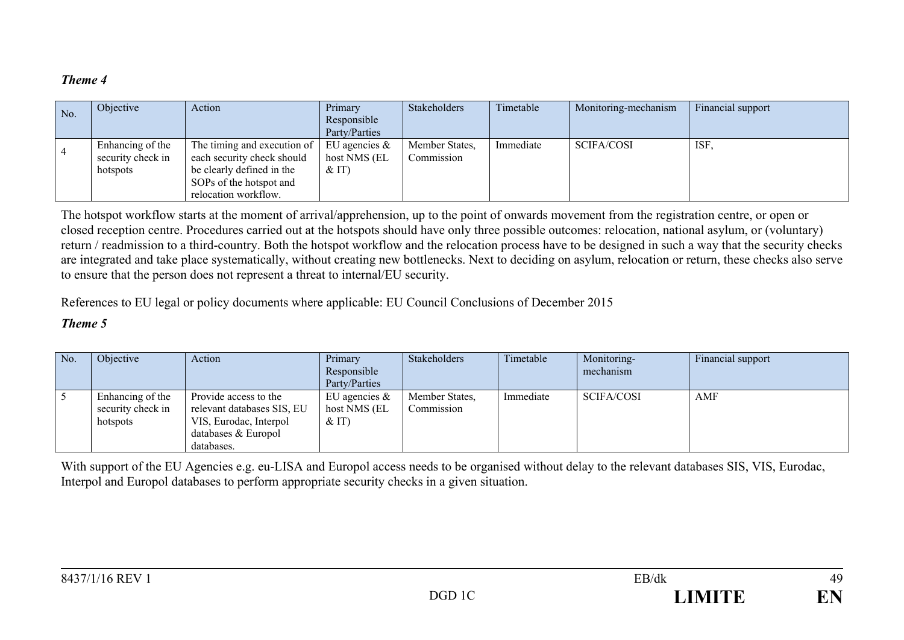| No. | Objective         | Action                      | Primary          | Stakeholders   | Timetable | Monitoring-mechanism | Financial support |
|-----|-------------------|-----------------------------|------------------|----------------|-----------|----------------------|-------------------|
|     |                   |                             | Responsible      |                |           |                      |                   |
|     |                   |                             | Party/Parties    |                |           |                      |                   |
|     | Enhancing of the  | The timing and execution of | EU agencies $\&$ | Member States, | Immediate | SCIFA/COSI           | ISF.              |
|     | security check in | each security check should  | host NMS (EL     | Commission     |           |                      |                   |
|     | hotspots          | be clearly defined in the   | &(T)             |                |           |                      |                   |
|     |                   | SOPs of the hotspot and     |                  |                |           |                      |                   |
|     |                   | relocation workflow.        |                  |                |           |                      |                   |

The hotspot workflow starts at the moment of arrival/apprehension, up to the point of onwards movement from the registration centre, or open or closed reception centre. Procedures carried out at the hotspots should have only three possible outcomes: relocation, national asylum, or (voluntary) return / readmission to a third-country. Both the hotspot workflow and the relocation process have to be designed in such a way that the security checks are integrated and take place systematically, without creating new bottlenecks. Next to deciding on asylum, relocation or return, these checks also serve to ensure that the person does not represent a threat to internal/EU security.

References to EU legal or policy documents where applicable: EU Council Conclusions of December 2015

#### *Theme 5*

| No. | Objective                                         | Action                                                                                                             | Primary<br>Responsible<br>Party/Parties     | Stakeholders                 | Timetable | Monitoring-<br>mechanism | Financial support |
|-----|---------------------------------------------------|--------------------------------------------------------------------------------------------------------------------|---------------------------------------------|------------------------------|-----------|--------------------------|-------------------|
|     | Enhancing of the<br>security check in<br>hotspots | Provide access to the<br>relevant databases SIS, EU<br>VIS, Eurodac, Interpol<br>databases & Europol<br>databases. | EU agencies $\&$<br>host NMS (EL<br>$&$ IT) | Member States,<br>Commission | Immediate | SCIFA/COSI               | AMF               |

With support of the EU Agencies e.g. eu-LISA and Europol access needs to be organised without delay to the relevant databases SIS, VIS, Eurodac, Interpol and Europol databases to perform appropriate security checks in a given situation.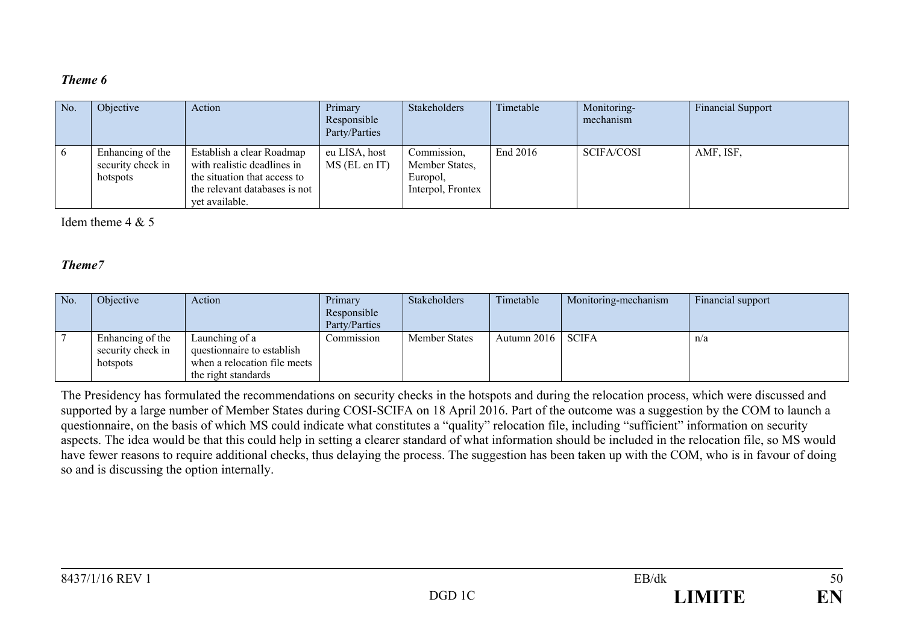| No. | Objective                                         | Action                                                                                                                                      | Primary<br>Responsible<br>Party/Parties | Stakeholders                                                   | Timetable | Monitoring-<br>mechanism | <b>Financial Support</b> |
|-----|---------------------------------------------------|---------------------------------------------------------------------------------------------------------------------------------------------|-----------------------------------------|----------------------------------------------------------------|-----------|--------------------------|--------------------------|
|     | Enhancing of the<br>security check in<br>hotspots | Establish a clear Roadmap<br>with realistic deadlines in<br>the situation that access to<br>the relevant databases is not<br>vet available. | eu LISA, host<br>MS (EL en IT)          | Commission,<br>Member States,<br>Europol,<br>Interpol, Frontex | End 2016  | <b>SCIFA/COSI</b>        | AMF, ISF,                |

Idem theme  $4 & 5$ 

#### *Theme7*

| No. | Objective                                         | Action                                                                                              | Primary       | Stakeholders         | Timetable           | Monitoring-mechanism | Financial support |
|-----|---------------------------------------------------|-----------------------------------------------------------------------------------------------------|---------------|----------------------|---------------------|----------------------|-------------------|
|     |                                                   |                                                                                                     | Responsible   |                      |                     |                      |                   |
|     |                                                   |                                                                                                     | Party/Parties |                      |                     |                      |                   |
|     | Enhancing of the<br>security check in<br>hotspots | Launching of a<br>questionnaire to establish<br>when a relocation file meets<br>the right standards | Commission    | <b>Member States</b> | Autumn 2016   SCIFA |                      | n/a               |

The Presidency has formulated the recommendations on security checks in the hotspots and during the relocation process, which were discussed and supported by a large number of Member States during COSI-SCIFA on 18 April 2016. Part of the outcome was a suggestion by the COM to launch a questionnaire, on the basis of which MS could indicate what constitutes a "quality" relocation file, including "sufficient" information on security aspects. The idea would be that this could help in setting a clearer standard of what information should be included in the relocation file, so MS would have fewer reasons to require additional checks, thus delaying the process. The suggestion has been taken up with the COM, who is in favour of doing so and is discussing the option internally.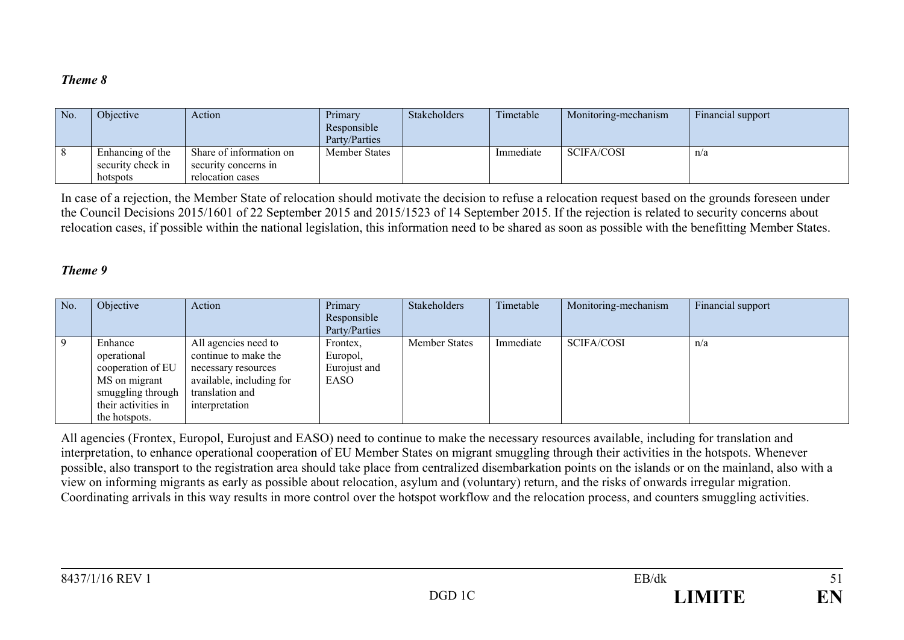| No. | Objective                             | Action                                          | Primary<br>Responsible<br>Party/Parties | Stakeholders | Timetable | Monitoring-mechanism | Financial support |
|-----|---------------------------------------|-------------------------------------------------|-----------------------------------------|--------------|-----------|----------------------|-------------------|
|     | Enhancing of the<br>security check in | Share of information on<br>security concerns in | Member States                           |              | Immediate | <b>SCIFA/COSI</b>    | n/a               |
|     | hotspots                              | relocation cases                                |                                         |              |           |                      |                   |

In case of a rejection, the Member State of relocation should motivate the decision to refuse a relocation request based on the grounds foreseen under the Council Decisions 2015/1601 of 22 September 2015 and 2015/1523 of 14 September 2015. If the rejection is related to security concerns about relocation cases, if possible within the national legislation, this information need to be shared as soon as possible with the benefitting Member States.

#### *Theme 9*

| No. | Objective                                                                                                                 | Action                                                                                                                               | Primary<br>Responsible<br>Party/Parties      | Stakeholders         | Timetable | Monitoring-mechanism | Financial support |
|-----|---------------------------------------------------------------------------------------------------------------------------|--------------------------------------------------------------------------------------------------------------------------------------|----------------------------------------------|----------------------|-----------|----------------------|-------------------|
|     | Enhance<br>operational<br>cooperation of EU<br>MS on migrant<br>smuggling through<br>their activities in<br>the hotspots. | All agencies need to<br>continue to make the<br>necessary resources<br>available, including for<br>translation and<br>interpretation | Frontex,<br>Europol,<br>Eurojust and<br>EASO | <b>Member States</b> | Immediate | <b>SCIFA/COSI</b>    | n/a               |

All agencies (Frontex, Europol, Eurojust and EASO) need to continue to make the necessary resources available, including for translation and interpretation, to enhance operational cooperation of EU Member States on migrant smuggling through their activities in the hotspots. Whenever possible, also transport to the registration area should take place from centralized disembarkation points on the islands or on the mainland, also with a view on informing migrants as early as possible about relocation, asylum and (voluntary) return, and the risks of onwards irregular migration. Coordinating arrivals in this way results in more control over the hotspot workflow and the relocation process, and counters smuggling activities.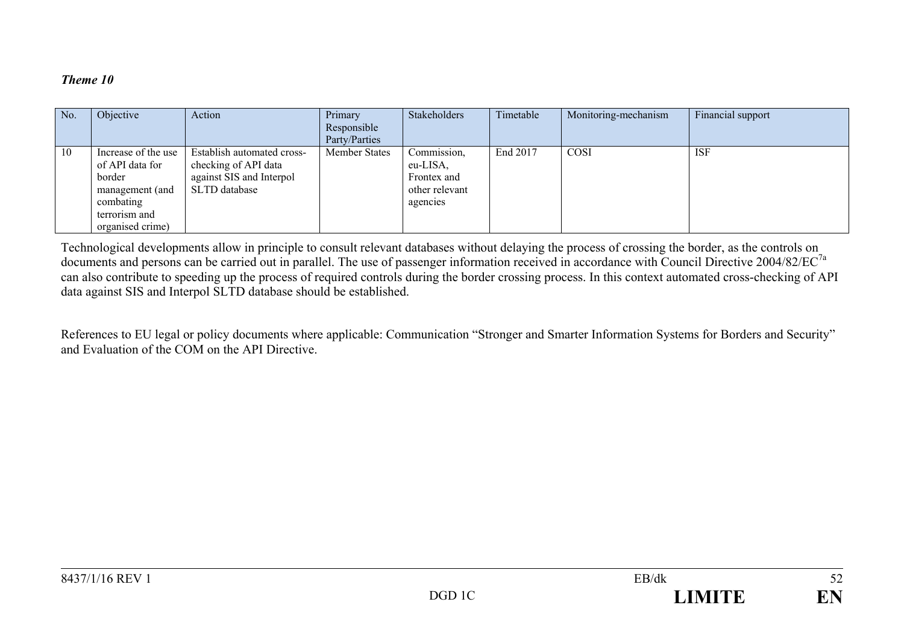| No. | Objective                                                                                                             | Action                                                                                          | Primary<br>Responsible<br>Party/Parties | Stakeholders                                                         | Timetable | Monitoring-mechanism | Financial support |
|-----|-----------------------------------------------------------------------------------------------------------------------|-------------------------------------------------------------------------------------------------|-----------------------------------------|----------------------------------------------------------------------|-----------|----------------------|-------------------|
| 10  | Increase of the use<br>of API data for<br>border<br>management (and<br>combating<br>terrorism and<br>organised crime) | Establish automated cross-<br>checking of API data<br>against SIS and Interpol<br>SLTD database | <b>Member States</b>                    | Commission,<br>eu-LISA,<br>Frontex and<br>other relevant<br>agencies | End 2017  | COSI                 | <b>ISF</b>        |

Technological developments allow in principle to consult relevant databases without delaying the process of crossing the border, as the controls on documents and persons can be carried out in parallel. The use of passenger information received in accordance with Council Directive 2004/82/EC<sup>7a</sup> can also contribute to speeding up the process of required controls during the border crossing process. In this context automated cross-checking of API data against SIS and Interpol SLTD database should be established.

References to EU legal or policy documents where applicable: Communication "Stronger and Smarter Information Systems for Borders and Security" and Evaluation of the COM on the API Directive.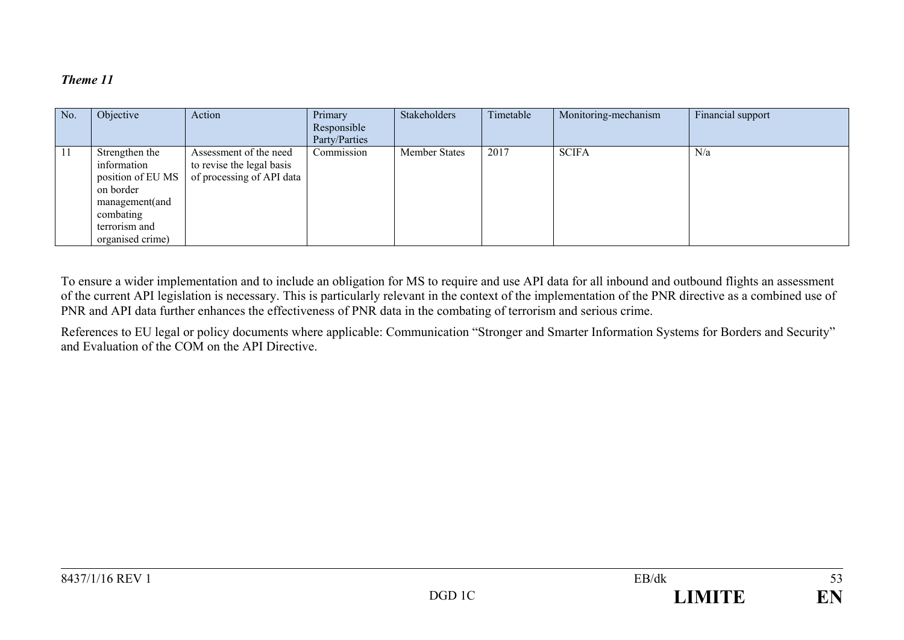| No. | Objective                                                                                                                           | Action                                                                           | Primary<br>Responsible<br>Party/Parties | Stakeholders         | Timetable | Monitoring-mechanism | Financial support |
|-----|-------------------------------------------------------------------------------------------------------------------------------------|----------------------------------------------------------------------------------|-----------------------------------------|----------------------|-----------|----------------------|-------------------|
| 11  | Strengthen the<br>information<br>position of EU MS<br>on border<br>management(and<br>combating<br>terrorism and<br>organised crime) | Assessment of the need<br>to revise the legal basis<br>of processing of API data | Commission                              | <b>Member States</b> | 2017      | <b>SCIFA</b>         | N/a               |

To ensure a wider implementation and to include an obligation for MS to require and use API data for all inbound and outbound flights an assessment of the current API legislation is necessary. This is particularly relevant in the context of the implementation of the PNR directive as a combined use of PNR and API data further enhances the effectiveness of PNR data in the combating of terrorism and serious crime.

References to EU legal or policy documents where applicable: Communication "Stronger and Smarter Information Systems for Borders and Security" and Evaluation of the COM on the API Directive.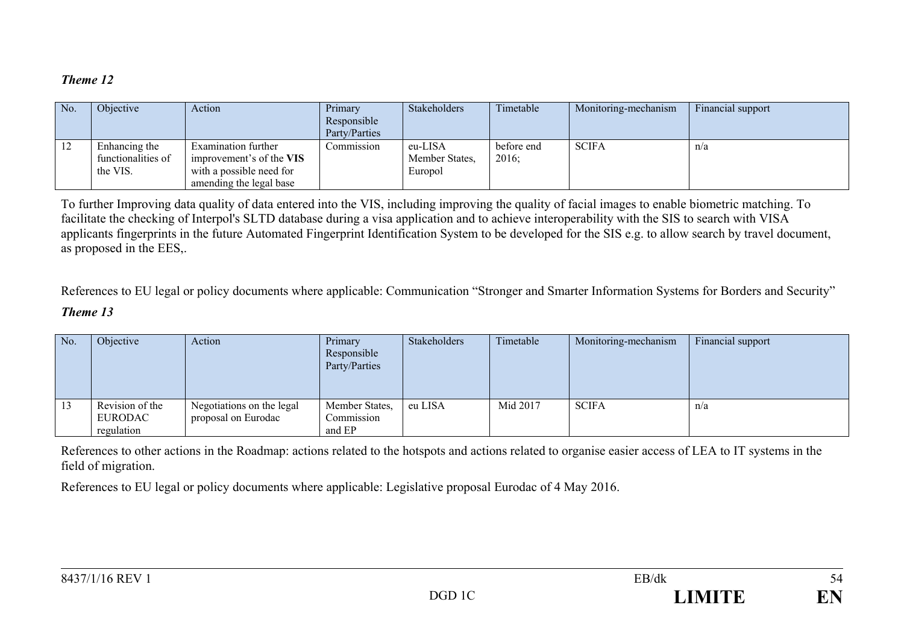| No.           | <i><b>Objective</b></i>                         | Action                                                                                                 | Primary<br>Responsible<br>Party/Parties | <b>Stakeholders</b>                  | Timetable           | Monitoring-mechanism | Financial support |
|---------------|-------------------------------------------------|--------------------------------------------------------------------------------------------------------|-----------------------------------------|--------------------------------------|---------------------|----------------------|-------------------|
| $\frac{1}{2}$ | Enhancing the<br>functionalities of<br>the VIS. | Examination further<br>improvement's of the VIS<br>with a possible need for<br>amending the legal base | Commission                              | eu-LISA<br>Member States.<br>Europol | before end<br>2016; | <b>SCIFA</b>         | n/a               |

To further Improving data quality of data entered into the VIS, including improving the quality of facial images to enable biometric matching. To facilitate the checking of Interpol's SLTD database during a visa application and to achieve interoperability with the SIS to search with VISA applicants fingerprints in the future Automated Fingerprint Identification System to be developed for the SIS e.g. to allow search by travel document, as proposed in the EES,.

References to EU legal or policy documents where applicable: Communication "Stronger and Smarter Information Systems for Borders and Security"

### *Theme 13*

| No. | Objective                  | Action                                           | Primary<br>Responsible<br>Party/Parties | Stakeholders | Timetable | Monitoring-mechanism | Financial support |
|-----|----------------------------|--------------------------------------------------|-----------------------------------------|--------------|-----------|----------------------|-------------------|
| 13  | Revision of the<br>EURODAC | Negotiations on the legal<br>proposal on Eurodac | Member States,<br>Commission            | eu LISA      | Mid 2017  | <b>SCIFA</b>         | n/a               |
|     | regulation                 |                                                  | and EP                                  |              |           |                      |                   |

References to other actions in the Roadmap: actions related to the hotspots and actions related to organise easier access of LEA to IT systems in the field of migration.

References to EU legal or policy documents where applicable: Legislative proposal Eurodac of 4 May 2016.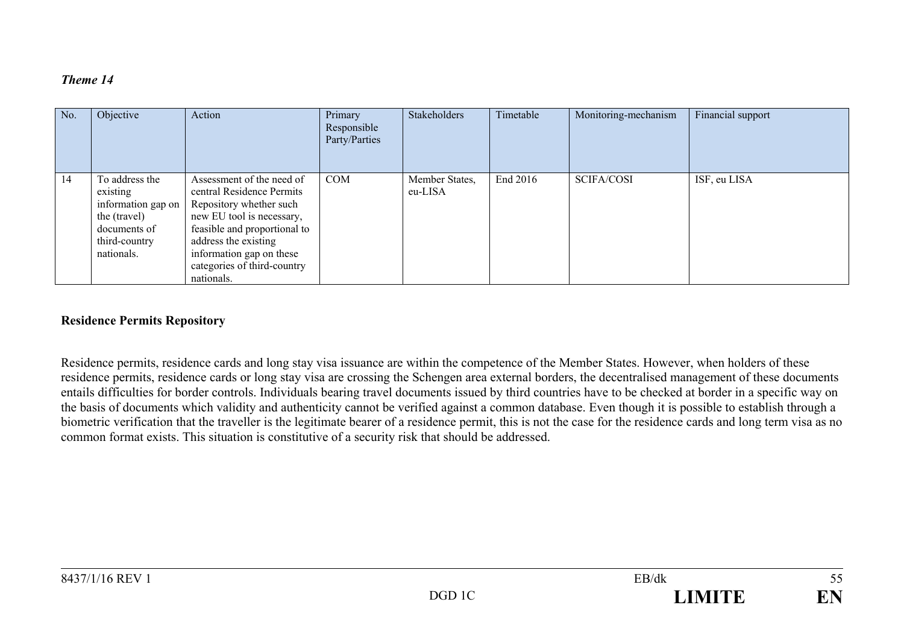| No. | Objective                                                                                                       | Action                                                                                                                                                                                                                                          | Primary<br>Responsible<br>Party/Parties | Stakeholders              | Timetable | Monitoring-mechanism | Financial support |
|-----|-----------------------------------------------------------------------------------------------------------------|-------------------------------------------------------------------------------------------------------------------------------------------------------------------------------------------------------------------------------------------------|-----------------------------------------|---------------------------|-----------|----------------------|-------------------|
| 14  | To address the<br>existing<br>information gap on<br>the (travel)<br>documents of<br>third-country<br>nationals. | Assessment of the need of<br>central Residence Permits<br>Repository whether such<br>new EU tool is necessary,<br>feasible and proportional to<br>address the existing<br>information gap on these<br>categories of third-country<br>nationals. | <b>COM</b>                              | Member States,<br>eu-LISA | End 2016  | <b>SCIFA/COSI</b>    | ISF, eu LISA      |

#### **Residence Permits Repository**

Residence permits, residence cards and long stay visa issuance are within the competence of the Member States. However, when holders of these residence permits, residence cards or long stay visa are crossing the Schengen area external borders, the decentralised management of these documents entails difficulties for border controls. Individuals bearing travel documents issued by third countries have to be checked at border in a specific way on the basis of documents which validity and authenticity cannot be verified against a common database. Even though it is possible to establish through a biometric verification that the traveller is the legitimate bearer of a residence permit, this is not the case for the residence cards and long term visa as no common format exists. This situation is constitutive of a security risk that should be addressed.